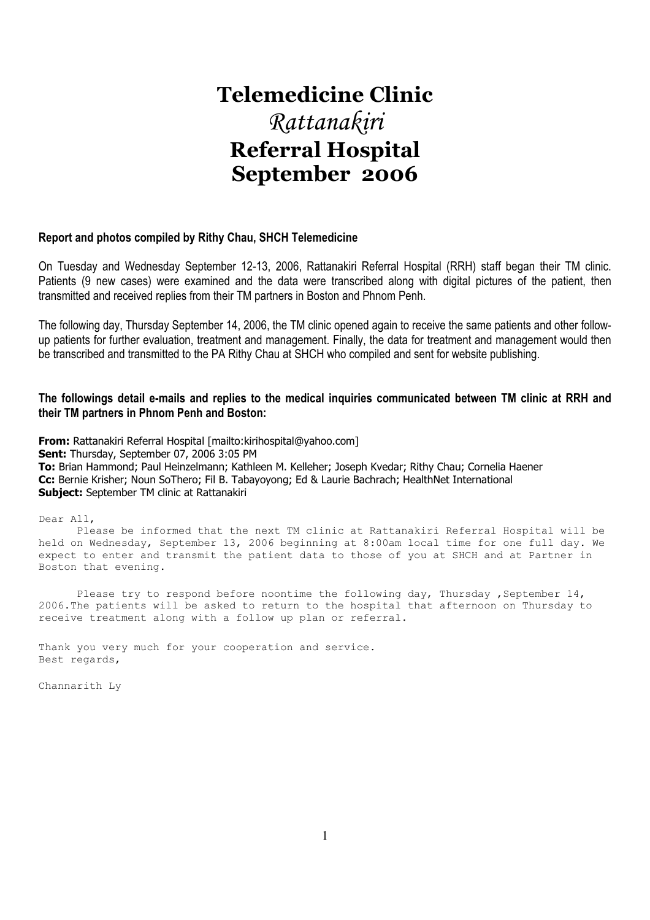# **Telemedicine Clinic**  Rattanakiri **Referral Hospital September 2006**

#### **Report and photos compiled by Rithy Chau, SHCH Telemedicine**

On Tuesday and Wednesday September 12-13, 2006, Rattanakiri Referral Hospital (RRH) staff began their TM clinic. Patients (9 new cases) were examined and the data were transcribed along with digital pictures of the patient, then transmitted and received replies from their TM partners in Boston and Phnom Penh.

The following day, Thursday September 14, 2006, the TM clinic opened again to receive the same patients and other followup patients for further evaluation, treatment and management. Finally, the data for treatment and management would then be transcribed and transmitted to the PA Rithy Chau at SHCH who compiled and sent for website publishing.

#### **The followings detail e-mails and replies to the medical inquiries communicated between TM clinic at RRH and their TM partners in Phnom Penh and Boston:**

**From:** Rattanakiri Referral Hospital [mailto:kirihospital@yahoo.com] **Sent:** Thursday, September 07, 2006 3:05 PM **To:** Brian Hammond; Paul Heinzelmann; Kathleen M. Kelleher; Joseph Kvedar; Rithy Chau; Cornelia Haener **Cc:** Bernie Krisher; Noun SoThero; Fil B. Tabayoyong; Ed & Laurie Bachrach; HealthNet International **Subject:** September TM clinic at Rattanakiri

Dear All,

 Please be informed that the next TM clinic at Rattanakiri Referral Hospital will be held on Wednesday, September 13, 2006 beginning at 8:00am local time for one full day. We expect to enter and transmit the patient data to those of you at SHCH and at Partner in Boston that evening.

Please try to respond before noontime the following day, Thursday , September  $14$ , 2006.The patients will be asked to return to the hospital that afternoon on Thursday to receive treatment along with a follow up plan or referral.

Thank you very much for your cooperation and service. Best regards,

Channarith Ly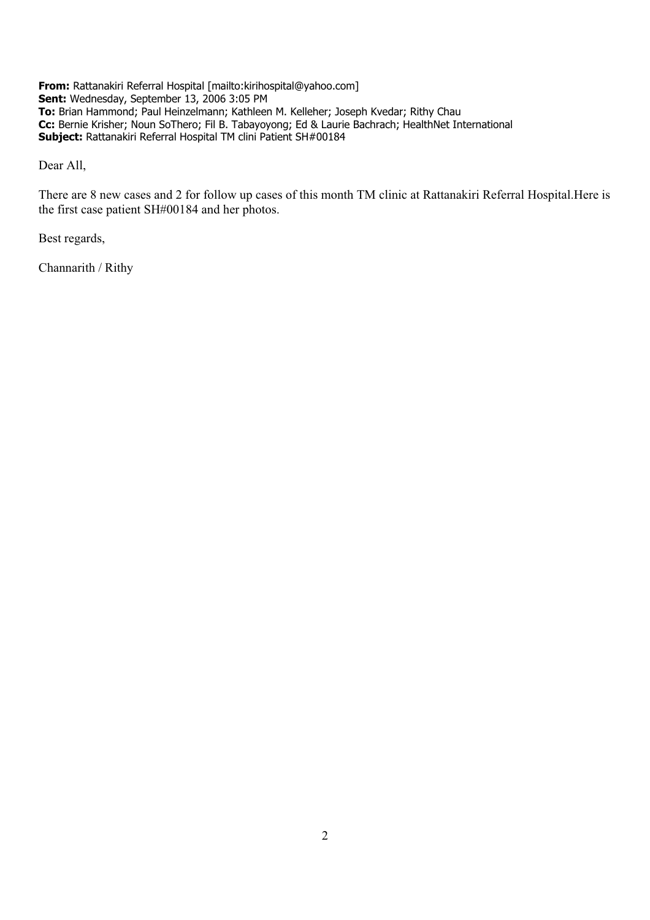**From:** Rattanakiri Referral Hospital [mailto:kirihospital@yahoo.com] **Sent:** Wednesday, September 13, 2006 3:05 PM **To:** Brian Hammond; Paul Heinzelmann; Kathleen M. Kelleher; Joseph Kvedar; Rithy Chau **Cc:** Bernie Krisher; Noun SoThero; Fil B. Tabayoyong; Ed & Laurie Bachrach; HealthNet International **Subject:** Rattanakiri Referral Hospital TM clini Patient SH#00184

Dear All,

There are 8 new cases and 2 for follow up cases of this month TM clinic at Rattanakiri Referral Hospital.Here is the first case patient SH#00184 and her photos.

Best regards,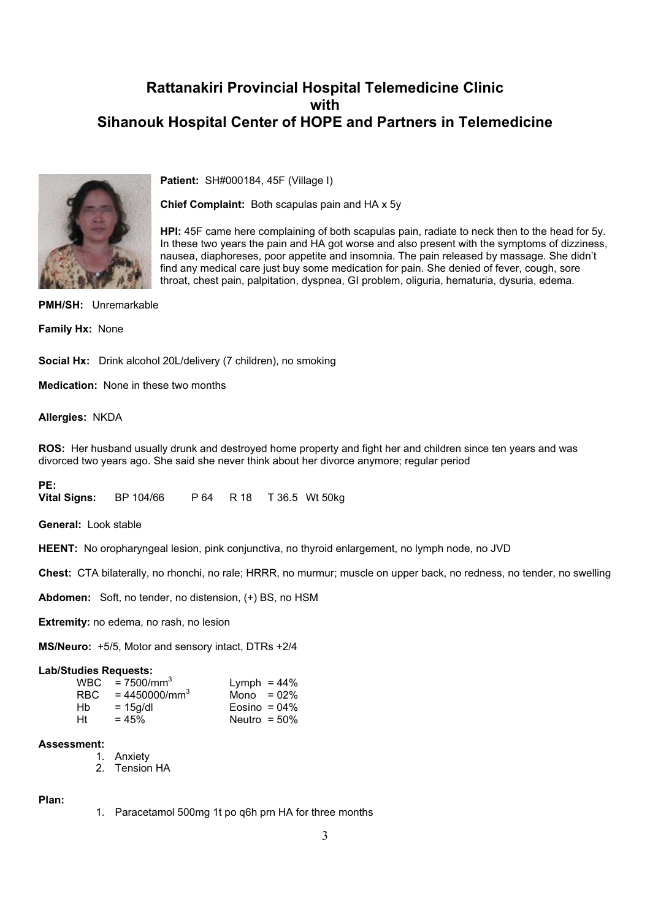

**Patient:** SH#000184, 45F (Village I)

**Chief Complaint:** Both scapulas pain and HA x 5y

**HPI:** 45F came here complaining of both scapulas pain, radiate to neck then to the head for 5y. In these two years the pain and HA got worse and also present with the symptoms of dizziness, nausea, diaphoreses, poor appetite and insomnia. The pain released by massage. She didn't find any medical care just buy some medication for pain. She denied of fever, cough, sore throat, chest pain, palpitation, dyspnea, GI problem, oliguria, hematuria, dysuria, edema.

**PMH/SH:** Unremarkable

**Family Hx:** None

**Social Hx:** Drink alcohol 20L/delivery (7 children), no smoking

**Medication:** None in these two months

**Allergies:** NKDA

**ROS:** Her husband usually drunk and destroyed home property and fight her and children since ten years and was divorced two years ago. She said she never think about her divorce anymore; regular period

**PE: Vital Signs:** BP 104/66 P 64 R 18 T 36.5 Wt 50kg

**General:** Look stable

**HEENT:** No oropharyngeal lesion, pink conjunctiva, no thyroid enlargement, no lymph node, no JVD

**Chest:** CTA bilaterally, no rhonchi, no rale; HRRR, no murmur; muscle on upper back, no redness, no tender, no swelling

**Abdomen:** Soft, no tender, no distension, (+) BS, no HSM

**Extremity:** no edema, no rash, no lesion

**MS/Neuro:** +5/5, Motor and sensory intact, DTRs +2/4

#### **Lab/Studies Requests:**

| RBC. | $WBC = 7500/mm^3$<br>$= 4450000/mm^{3}$ | Lymph = $44\%$<br>Mono = $02\%$ |  |
|------|-----------------------------------------|---------------------------------|--|
| Hb   | $= 15q/dl$                              | Eosino = $04\%$                 |  |
| Ht   | $= 45%$                                 | Neutro = $50\%$                 |  |

#### **Assessment:**

- 1. Anxiety
- 2. Tension HA

#### **Plan:**

1. Paracetamol 500mg 1t po q6h prn HA for three months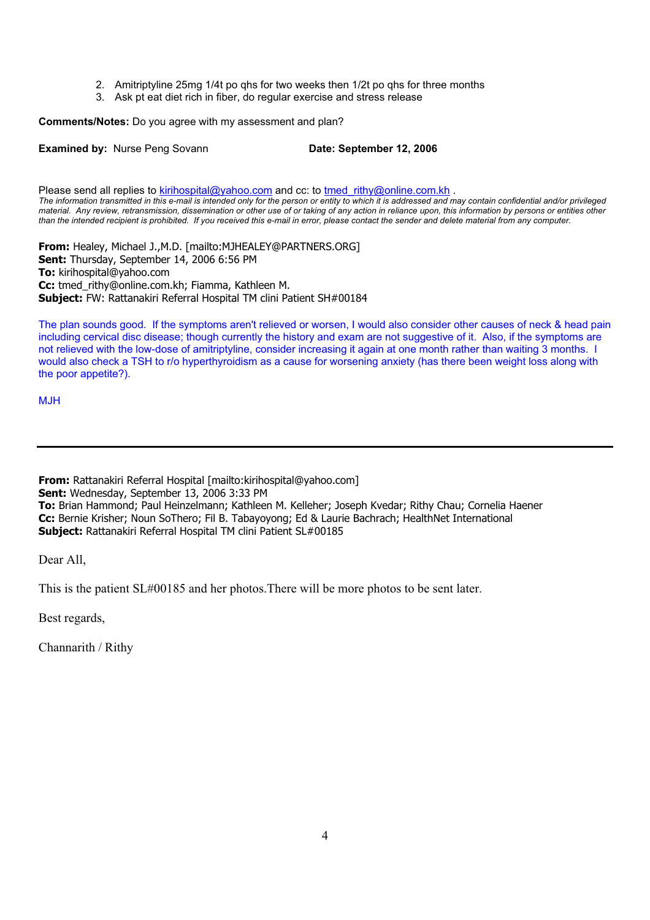- 2. Amitriptyline 25mg 1/4t po qhs for two weeks then 1/2t po qhs for three months
- 3. Ask pt eat diet rich in fiber, do regular exercise and stress release

**Comments/Notes:** Do you agree with my assessment and plan?

**Examined by:** Nurse Peng Sovann **Date: September 12, 2006** 

Please send all replies to kirihospital@yahoo.com and cc: to tmed rithy@online.com.kh . *The information transmitted in this e-mail is intended only for the person or entity to which it is addressed and may contain confidential and/or privileged material. Any review, retransmission, dissemination or other use of or taking of any action in reliance upon, this information by persons or entities other than the intended recipient is prohibited. If you received this e-mail in error, please contact the sender and delete material from any computer.*

**From:** Healey, Michael J.,M.D. [mailto:MJHEALEY@PARTNERS.ORG] **Sent:** Thursday, September 14, 2006 6:56 PM **To:** kirihospital@yahoo.com **Cc:** tmed\_rithy@online.com.kh; Fiamma, Kathleen M. **Subject:** FW: Rattanakiri Referral Hospital TM clini Patient SH#00184

The plan sounds good. If the symptoms aren't relieved or worsen, I would also consider other causes of neck & head pain including cervical disc disease; though currently the history and exam are not suggestive of it. Also, if the symptoms are not relieved with the low-dose of amitriptyline, consider increasing it again at one month rather than waiting 3 months. I would also check a TSH to r/o hyperthyroidism as a cause for worsening anxiety (has there been weight loss along with the poor appetite?).

MJH

**From:** Rattanakiri Referral Hospital [mailto:kirihospital@yahoo.com] **Sent:** Wednesday, September 13, 2006 3:33 PM **To:** Brian Hammond; Paul Heinzelmann; Kathleen M. Kelleher; Joseph Kvedar; Rithy Chau; Cornelia Haener **Cc:** Bernie Krisher; Noun SoThero; Fil B. Tabayoyong; Ed & Laurie Bachrach; HealthNet International **Subject:** Rattanakiri Referral Hospital TM clini Patient SL#00185

Dear All,

This is the patient SL#00185 and her photos.There will be more photos to be sent later.

Best regards,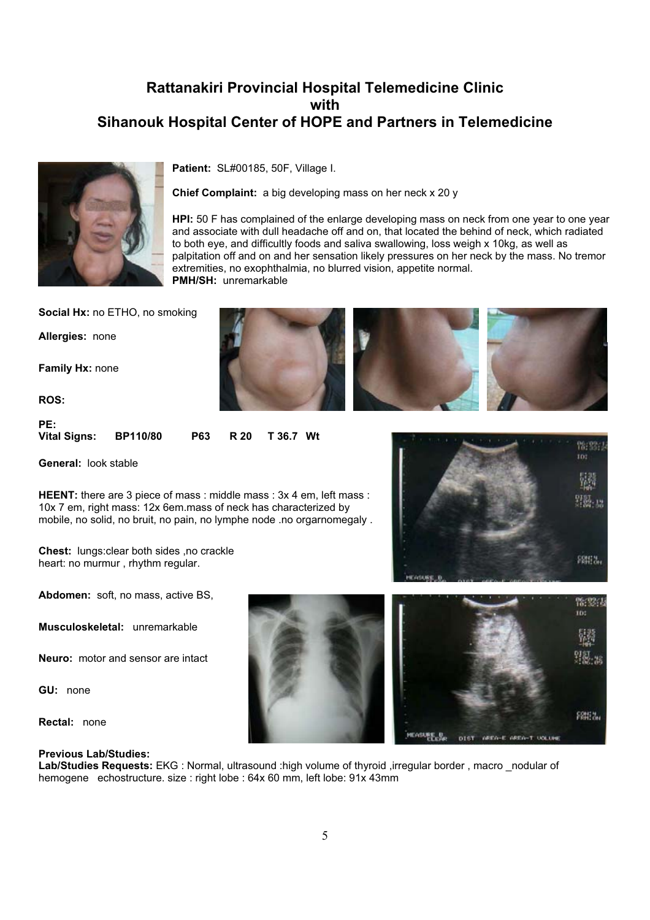

**Patient:** SL#00185, 50F, Village I.

**Chief Complaint:** a big developing mass on her neck x 20 y

**HPI:** 50 F has complained of the enlarge developing mass on neck from one year to one year and associate with dull headache off and on, that located the behind of neck, which radiated to both eye, and difficultly foods and saliva swallowing, loss weigh x 10kg, as well as palpitation off and on and her sensation likely pressures on her neck by the mass. No tremor extremities, no exophthalmia, no blurred vision, appetite normal. **PMH/SH:** unremarkable

**Social Hx: no ETHO, no smoking** 

**Allergies:** none

**Family Hx:** none

**ROS:**

**PE: Vital Signs: BP110/80 P63 R 20 T 36.7 Wt**

**General:** look stable

**HEENT:** there are 3 piece of mass : middle mass : 3x 4 em, left mass : 10x 7 em, right mass: 12x 6em.mass of neck has characterized by mobile, no solid, no bruit, no pain, no lymphe node .no orgarnomegaly .

**Chest:** lungs:clear both sides ,no crackle heart: no murmur , rhythm regular.

18:33 m PRH12.

**Abdomen:** soft, no mass, active BS,

**Musculoskeletal:** unremarkable

**Neuro:** motor and sensor are intact

**GU:** none

**Rectal:** none

#### **Previous Lab/Studies:**

**Lab/Studies Requests:** EKG : Normal, ultrasound :high volume of thyroid ,irregular border , macro \_nodular of hemogene echostructure. size : right lobe : 64x 60 mm, left lobe: 91x 43mm





**MEN-E AREN-T VOLUE** 

**HEASURE\_B.** 

DIST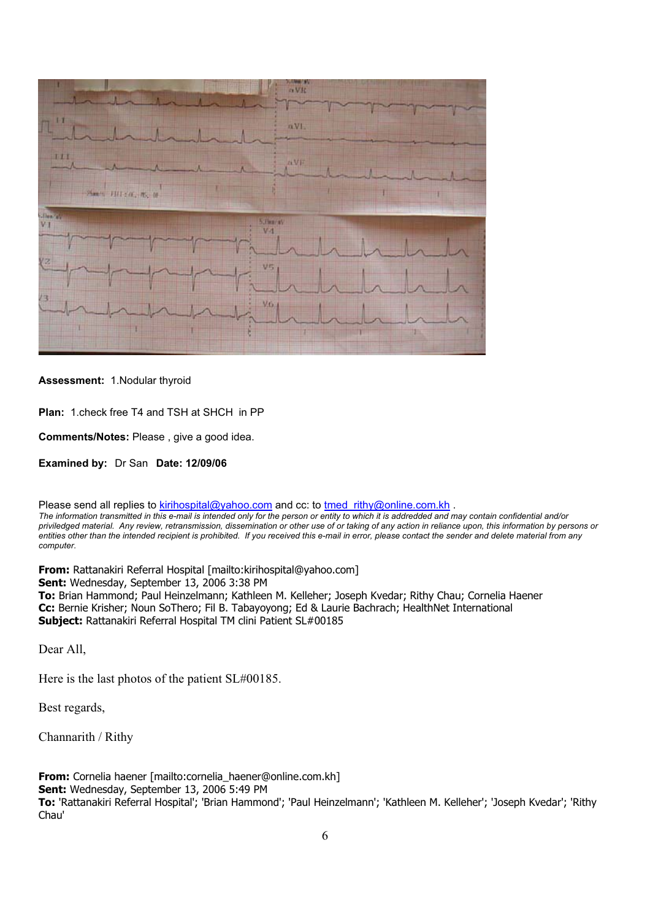

#### **Assessment:** 1.Nodular thyroid

**Plan:** 1.check free T4 and TSH at SHCH in PP

**Comments/Notes:** Please , give a good idea.

**Examined by:** Dr San **Date: 12/09/06**

Please send all replies to kirihospital@yahoo.com and cc: to tmed\_rithy@online.com.kh .

*The information transmitted in this e-mail is intended only for the person or entity to which it is addredded and may contain confidential and/or priviledged material. Any review, retransmission, dissemination or other use of or taking of any action in reliance upon, this information by persons or entities other than the intended recipient is prohibited. If you received this e-mail in error, please contact the sender and delete material from any computer.*

**From:** Rattanakiri Referral Hospital [mailto:kirihospital@yahoo.com]

**Sent:** Wednesday, September 13, 2006 3:38 PM

**To:** Brian Hammond; Paul Heinzelmann; Kathleen M. Kelleher; Joseph Kvedar; Rithy Chau; Cornelia Haener **Cc:** Bernie Krisher; Noun SoThero; Fil B. Tabayoyong; Ed & Laurie Bachrach; HealthNet International **Subject:** Rattanakiri Referral Hospital TM clini Patient SL#00185

Dear All,

Here is the last photos of the patient SL#00185.

Best regards,

Channarith / Rithy

**From:** Cornelia haener [mailto:cornelia\_haener@online.com.kh] **Sent:** Wednesday, September 13, 2006 5:49 PM **To:** 'Rattanakiri Referral Hospital'; 'Brian Hammond'; 'Paul Heinzelmann'; 'Kathleen M. Kelleher'; 'Joseph Kvedar'; 'Rithy Chau'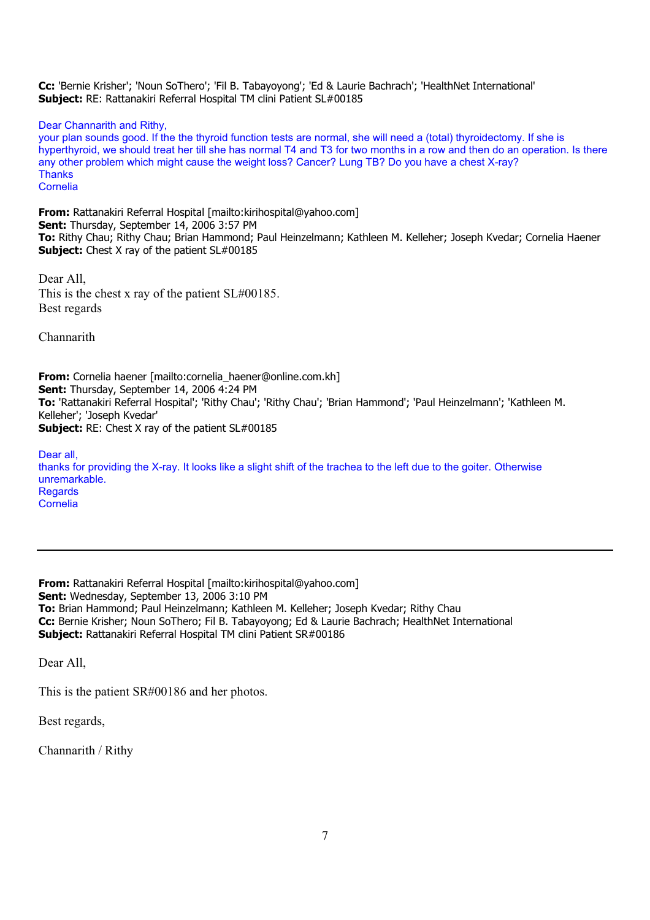**Cc:** 'Bernie Krisher'; 'Noun SoThero'; 'Fil B. Tabayoyong'; 'Ed & Laurie Bachrach'; 'HealthNet International' **Subject:** RE: Rattanakiri Referral Hospital TM clini Patient SL#00185

Dear Channarith and Rithy,

your plan sounds good. If the the thyroid function tests are normal, she will need a (total) thyroidectomy. If she is hyperthyroid, we should treat her till she has normal T4 and T3 for two months in a row and then do an operation. Is there any other problem which might cause the weight loss? Cancer? Lung TB? Do you have a chest X-ray? **Thanks** Cornelia

**From:** Rattanakiri Referral Hospital [mailto:kirihospital@yahoo.com] **Sent:** Thursday, September 14, 2006 3:57 PM **To:** Rithy Chau; Rithy Chau; Brian Hammond; Paul Heinzelmann; Kathleen M. Kelleher; Joseph Kvedar; Cornelia Haener **Subject:** Chest X ray of the patient SL#00185

Dear All, This is the chest x ray of the patient SL#00185. Best regards

Channarith

**From:** Cornelia haener [mailto:cornelia\_haener@online.com.kh] **Sent:** Thursday, September 14, 2006 4:24 PM **To:** 'Rattanakiri Referral Hospital'; 'Rithy Chau'; 'Rithy Chau'; 'Brian Hammond'; 'Paul Heinzelmann'; 'Kathleen M. Kelleher'; 'Joseph Kvedar' **Subject:** RE: Chest X ray of the patient SL#00185

Dear all, thanks for providing the X-ray. It looks like a slight shift of the trachea to the left due to the goiter. Otherwise unremarkable. **Regards** Cornelia

**From:** Rattanakiri Referral Hospital [mailto:kirihospital@yahoo.com] **Sent:** Wednesday, September 13, 2006 3:10 PM **To:** Brian Hammond; Paul Heinzelmann; Kathleen M. Kelleher; Joseph Kvedar; Rithy Chau **Cc:** Bernie Krisher; Noun SoThero; Fil B. Tabayoyong; Ed & Laurie Bachrach; HealthNet International **Subject:** Rattanakiri Referral Hospital TM clini Patient SR#00186

Dear All,

This is the patient SR#00186 and her photos.

Best regards,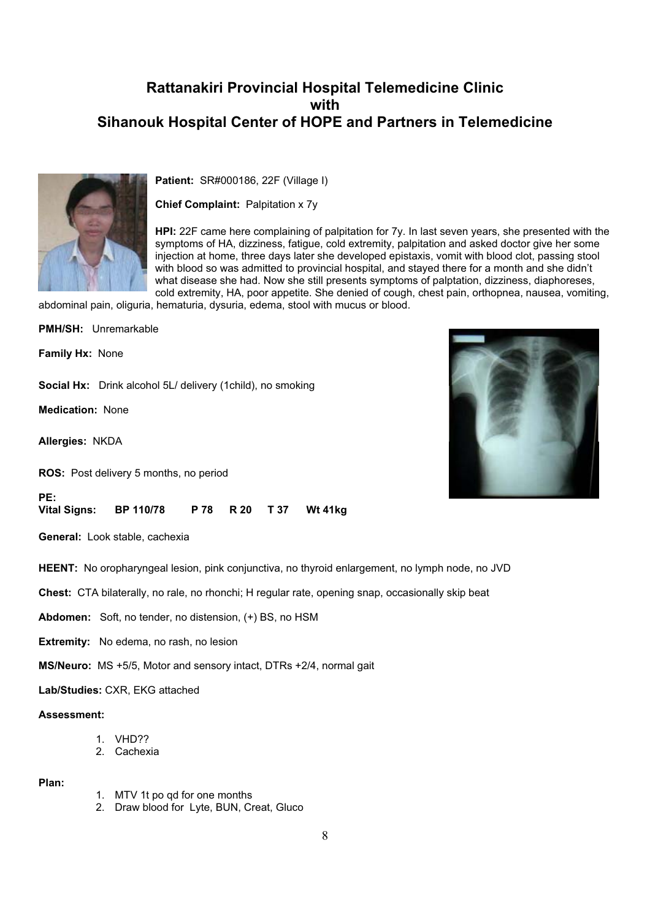

**Patient:** SR#000186, 22F (Village I)

**Chief Complaint:** Palpitation x 7y

**HPI:** 22F came here complaining of palpitation for 7y. In last seven years, she presented with the symptoms of HA, dizziness, fatigue, cold extremity, palpitation and asked doctor give her some injection at home, three days later she developed epistaxis, vomit with blood clot, passing stool with blood so was admitted to provincial hospital, and stayed there for a month and she didn't what disease she had. Now she still presents symptoms of palptation, dizziness, diaphoreses, cold extremity, HA, poor appetite. She denied of cough, chest pain, orthopnea, nausea, vomiting,

abdominal pain, oliguria, hematuria, dysuria, edema, stool with mucus or blood.

**PMH/SH:** Unremarkable **Family Hx:** None **Social Hx:** Drink alcohol 5L/ delivery (1child), no smoking

**Medication:** None

**Allergies:** NKDA

**PE:**

**ROS:** Post delivery 5 months, no period

**Vital Signs: BP 110/78 P 78 R 20 T 37 Wt 41kg**

**General:** Look stable, cachexia

**HEENT:** No oropharyngeal lesion, pink conjunctiva, no thyroid enlargement, no lymph node, no JVD

**Chest:** CTA bilaterally, no rale, no rhonchi; H regular rate, opening snap, occasionally skip beat

**Abdomen:** Soft, no tender, no distension, (+) BS, no HSM

**Extremity:** No edema, no rash, no lesion

**MS/Neuro:** MS +5/5, Motor and sensory intact, DTRs +2/4, normal gait

**Lab/Studies:** CXR, EKG attached

**Assessment:**

- 1. VHD??
- 2. Cachexia

#### **Plan:**

- 1. MTV 1t po qd for one months
- 2. Draw blood for Lyte, BUN, Creat, Gluco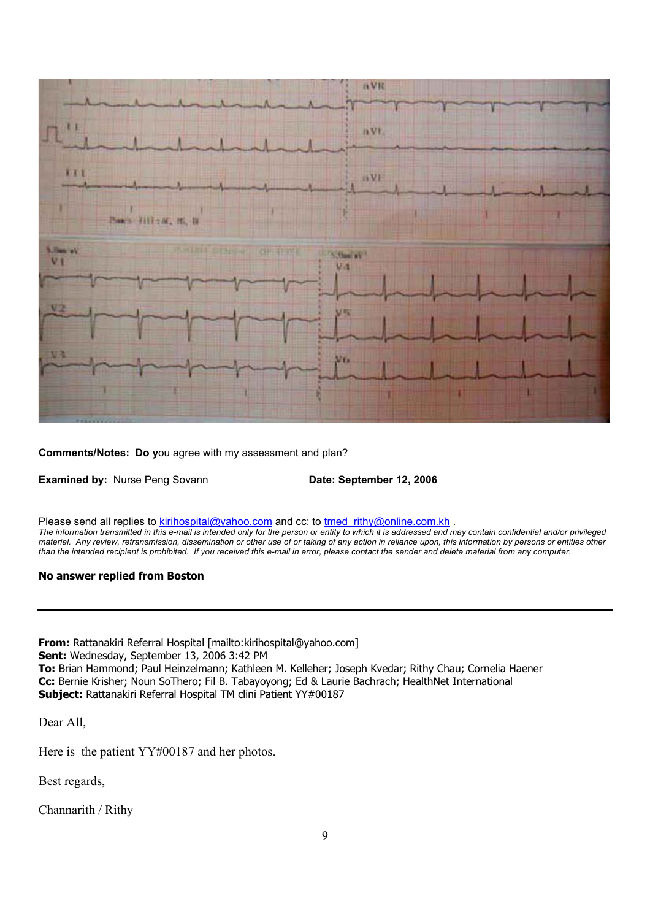

**Comments/Notes: Do y**ou agree with my assessment and plan?

**Examined by:** Nurse Peng Sovann **Date: September 12, 2006** 

Please send all replies to kirihospital@yahoo.com and cc: to tmed\_rithy@online.com.kh . *The information transmitted in this e-mail is intended only for the person or entity to which it is addressed and may contain confidential and/or privileged material. Any review, retransmission, dissemination or other use of or taking of any action in reliance upon, this information by persons or entities other than the intended recipient is prohibited. If you received this e-mail in error, please contact the sender and delete material from any computer.*

#### **No answer replied from Boston**

**From:** Rattanakiri Referral Hospital [mailto:kirihospital@yahoo.com] **Sent:** Wednesday, September 13, 2006 3:42 PM **To:** Brian Hammond; Paul Heinzelmann; Kathleen M. Kelleher; Joseph Kvedar; Rithy Chau; Cornelia Haener **Cc:** Bernie Krisher; Noun SoThero; Fil B. Tabayoyong; Ed & Laurie Bachrach; HealthNet International **Subject:** Rattanakiri Referral Hospital TM clini Patient YY#00187

Dear All,

Here is the patient YY#00187 and her photos.

Best regards,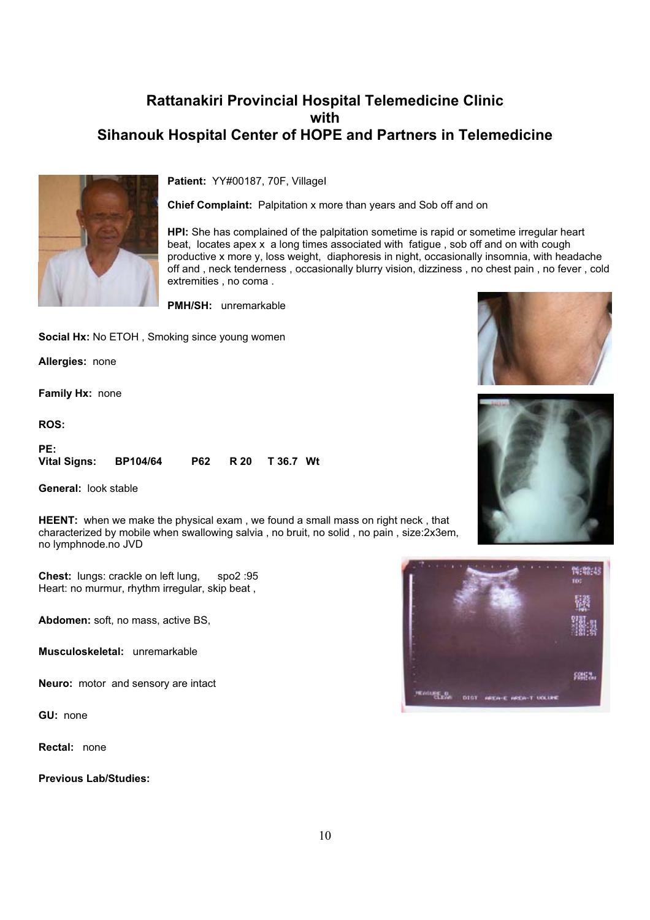

**Patient:** YY#00187, 70F, VillageI

**Chief Complaint:** Palpitation x more than years and Sob off and on

**HPI:** She has complained of the palpitation sometime is rapid or sometime irregular heart beat, locates apex x a long times associated with fatigue , sob off and on with cough productive x more y, loss weight, diaphoresis in night, occasionally insomnia, with headache off and , neck tenderness , occasionally blurry vision, dizziness , no chest pain , no fever , cold extremities , no coma .

**PMH/SH:** unremarkable

**Social Hx: No ETOH, Smoking since young women** 

**Allergies:** none

**Family Hx:** none

**ROS:**

| PE:                   |  |                    |  |
|-----------------------|--|--------------------|--|
| Vital Signs: BP104/64 |  | P62 R 20 T 36.7 Wt |  |

**General:** look stable

**HEENT:** when we make the physical exam , we found a small mass on right neck , that characterized by mobile when swallowing salvia , no bruit, no solid , no pain , size:2x3em, no lymphnode.no JVD

**Chest:** lungs: crackle on left lung, spo2 :95 Heart: no murmur, rhythm irregular, skip beat ,

**Abdomen:** soft, no mass, active BS,

**Musculoskeletal:** unremarkable

**Neuro:** motor and sensory are intact

**GU:** none

**Rectal:** none

**Previous Lab/Studies:**





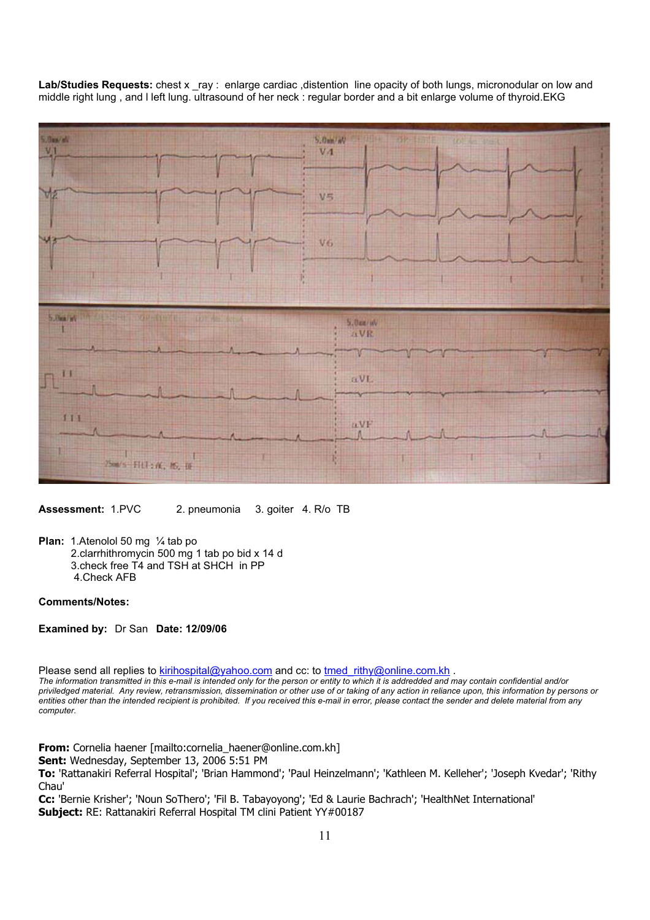Lab/Studies Requests: chest x ray : enlarge cardiac ,distention line opacity of both lungs, micronodular on low and middle right lung , and l left lung. ultrasound of her neck : regular border and a bit enlarge volume of thyroid.EKG



**Assessment:** 1.PVC 2. pneumonia 3. goiter 4. R/o TB

**Plan:** 1.Atenolol 50 mg 1/<sub>4</sub> tab po

- 2.clarrhithromycin 500 mg 1 tab po bid x 14 d
- 3.check free T4 and TSH at SHCH in PP
- 4.Check AFB

#### **Comments/Notes:**

**Examined by:** Dr San **Date: 12/09/06**

Please send all replies to kirihospital@yahoo.com and cc: to tmed\_rithy@online.com.kh .

*The information transmitted in this e-mail is intended only for the person or entity to which it is addredded and may contain confidential and/or priviledged material. Any review, retransmission, dissemination or other use of or taking of any action in reliance upon, this information by persons or entities other than the intended recipient is prohibited. If you received this e-mail in error, please contact the sender and delete material from any computer.*

**From:** Cornelia haener [mailto:cornelia\_haener@online.com.kh]

**Sent:** Wednesday, September 13, 2006 5:51 PM

**To:** 'Rattanakiri Referral Hospital'; 'Brian Hammond'; 'Paul Heinzelmann'; 'Kathleen M. Kelleher'; 'Joseph Kvedar'; 'Rithy Chau'

**Cc:** 'Bernie Krisher'; 'Noun SoThero'; 'Fil B. Tabayoyong'; 'Ed & Laurie Bachrach'; 'HealthNet International' Subject: RE: Rattanakiri Referral Hospital TM clini Patient YY#00187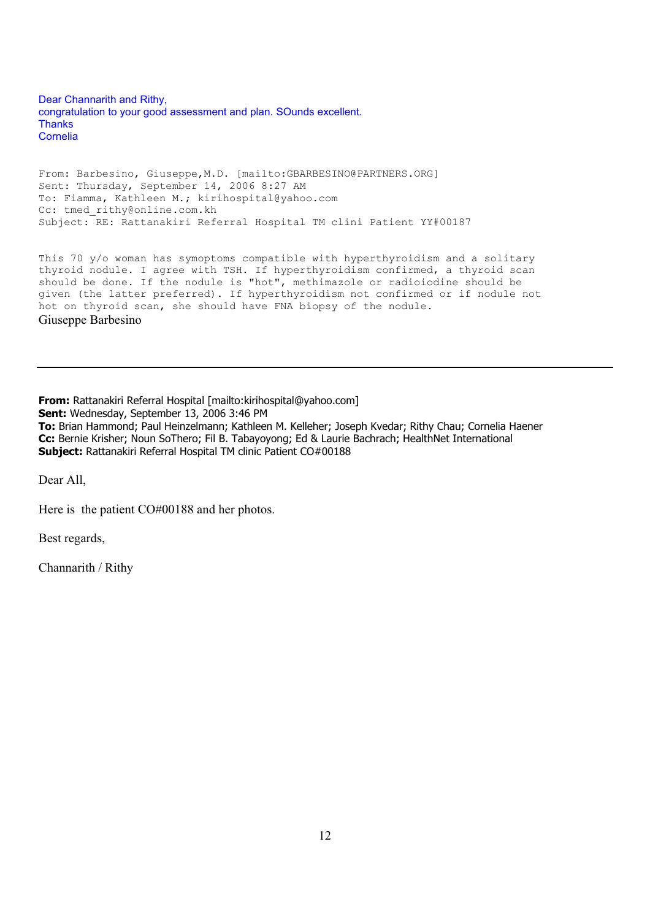Dear Channarith and Rithy, congratulation to your good assessment and plan. SOunds excellent. **Thanks** Cornelia

From: Barbesino, Giuseppe,M.D. [mailto:GBARBESINO@PARTNERS.ORG] Sent: Thursday, September 14, 2006 8:27 AM To: Fiamma, Kathleen M.; kirihospital@yahoo.com Cc: tmed rithy@online.com.kh Subject: RE: Rattanakiri Referral Hospital TM clini Patient YY#00187

This 70 y/o woman has symoptoms compatible with hyperthyroidism and a solitary thyroid nodule. I agree with TSH. If hyperthyroidism confirmed, a thyroid scan should be done. If the nodule is "hot", methimazole or radioiodine should be given (the latter preferred). If hyperthyroidism not confirmed or if nodule not hot on thyroid scan, she should have FNA biopsy of the nodule. Giuseppe Barbesino

**From:** Rattanakiri Referral Hospital [mailto:kirihospital@yahoo.com] **Sent:** Wednesday, September 13, 2006 3:46 PM **To:** Brian Hammond; Paul Heinzelmann; Kathleen M. Kelleher; Joseph Kvedar; Rithy Chau; Cornelia Haener **Cc:** Bernie Krisher; Noun SoThero; Fil B. Tabayoyong; Ed & Laurie Bachrach; HealthNet International **Subject:** Rattanakiri Referral Hospital TM clinic Patient CO#00188

Dear All,

Here is the patient CO#00188 and her photos.

Best regards,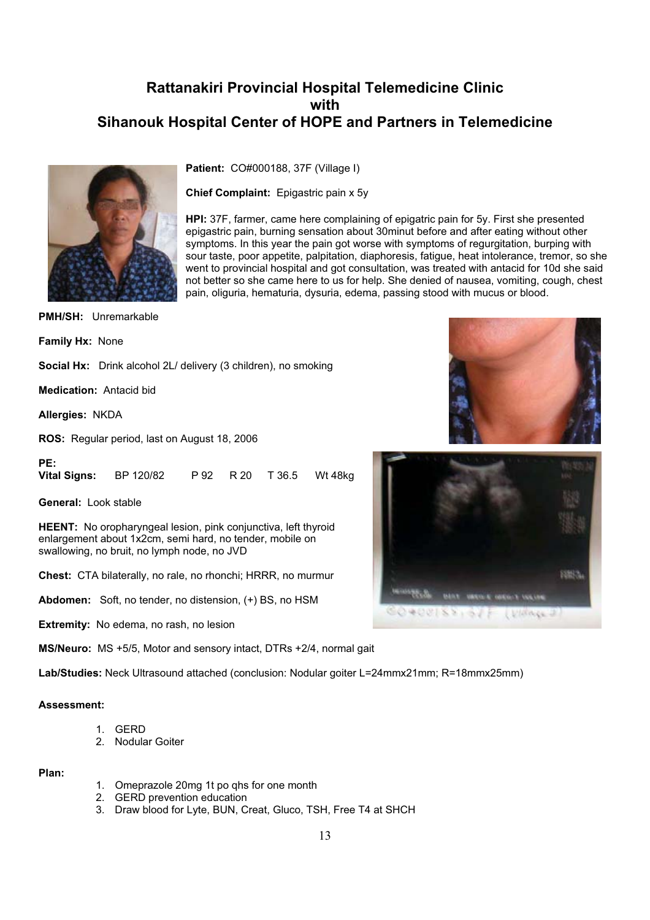

**Patient:** CO#000188, 37F (Village I)

**Chief Complaint:** Epigastric pain x 5y

**HPI:** 37F, farmer, came here complaining of epigatric pain for 5y. First she presented epigastric pain, burning sensation about 30minut before and after eating without other symptoms. In this year the pain got worse with symptoms of regurgitation, burping with sour taste, poor appetite, palpitation, diaphoresis, fatigue, heat intolerance, tremor, so she went to provincial hospital and got consultation, was treated with antacid for 10d she said not better so she came here to us for help. She denied of nausea, vomiting, cough, chest pain, oliguria, hematuria, dysuria, edema, passing stood with mucus or blood.

**PMH/SH:** Unremarkable

**Family Hx:** None

**Social Hx:** Drink alcohol 2L/ delivery (3 children), no smoking

**Medication:** Antacid bid

**Allergies:** NKDA

**PE:**

**ROS:** Regular period, last on August 18, 2006

**Vital Signs:** BP 120/82 P 92 R 20 T 36.5 Wt 48kg

**General:** Look stable

**HEENT:** No oropharyngeal lesion, pink conjunctiva, left thyroid enlargement about 1x2cm, semi hard, no tender, mobile on swallowing, no bruit, no lymph node, no JVD

**Chest:** CTA bilaterally, no rale, no rhonchi; HRRR, no murmur

**Abdomen:** Soft, no tender, no distension, (+) BS, no HSM

**Extremity:** No edema, no rash, no lesion

**MS/Neuro:** MS +5/5, Motor and sensory intact, DTRs +2/4, normal gait

**Lab/Studies:** Neck Ultrasound attached (conclusion: Nodular goiter L=24mmx21mm; R=18mmx25mm)

#### **Assessment:**

- 1. GERD
- 2. Nodular Goiter

#### **Plan:**

- 1. Omeprazole 20mg 1t po qhs for one month
- 2. GERD prevention education
- 3. Draw blood for Lyte, BUN, Creat, Gluco, TSH, Free T4 at SHCH



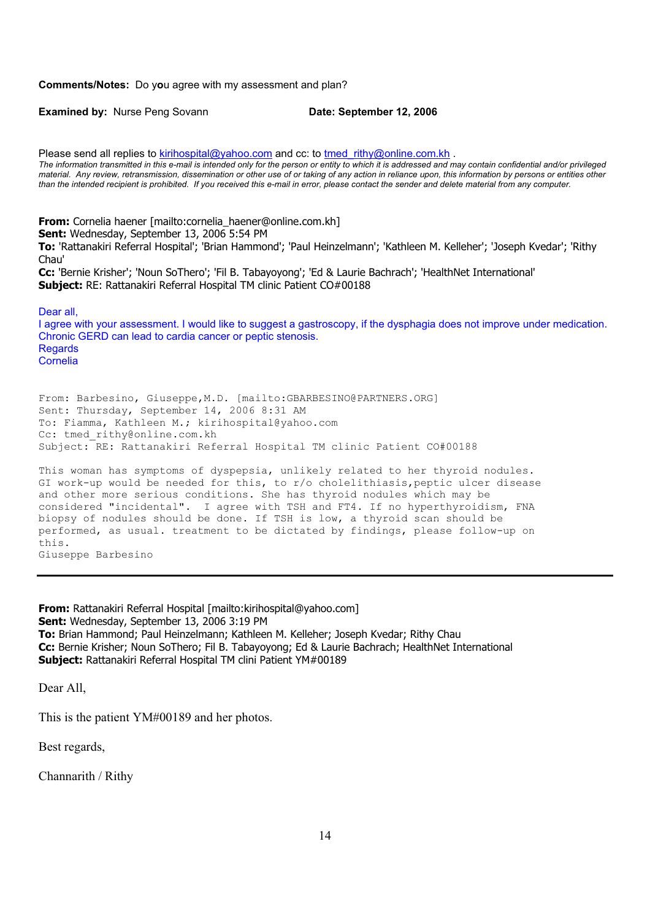#### **Comments/Notes:** Do y**o**u agree with my assessment and plan?

**Examined by:** Nurse Peng Sovann **Date: September 12, 2006** 

Please send all replies to kirihospital@yahoo.com and cc: to tmed rithy@online.com.kh . *The information transmitted in this e-mail is intended only for the person or entity to which it is addressed and may contain confidential and/or privileged material. Any review, retransmission, dissemination or other use of or taking of any action in reliance upon, this information by persons or entities other than the intended recipient is prohibited. If you received this e-mail in error, please contact the sender and delete material from any computer.* **From:** Cornelia haener [mailto:cornelia\_haener@online.com.kh] **Sent:** Wednesday, September 13, 2006 5:54 PM **To:** 'Rattanakiri Referral Hospital'; 'Brian Hammond'; 'Paul Heinzelmann'; 'Kathleen M. Kelleher'; 'Joseph Kvedar'; 'Rithy Chau' **Cc:** 'Bernie Krisher'; 'Noun SoThero'; 'Fil B. Tabayoyong'; 'Ed & Laurie Bachrach'; 'HealthNet International' **Subject:** RE: Rattanakiri Referral Hospital TM clinic Patient CO#00188 Dear all, I agree with your assessment. I would like to suggest a gastroscopy, if the dysphagia does not improve under medication. Chronic GERD can lead to cardia cancer or peptic stenosis. **Regards** Cornelia From: Barbesino, Giuseppe,M.D. [mailto:GBARBESINO@PARTNERS.ORG] Sent: Thursday, September 14, 2006 8:31 AM To: Fiamma, Kathleen M.; kirihospital@yahoo.com Cc: tmed rithy@online.com.kh Subject: RE: Rattanakiri Referral Hospital TM clinic Patient CO#00188 This woman has symptoms of dyspepsia, unlikely related to her thyroid nodules. GI work-up would be needed for this, to  $r/\circ$  cholelithiasis, peptic ulcer disease and other more serious conditions. She has thyroid nodules which may be considered "incidental". I agree with TSH and FT4. If no hyperthyroidism, FNA biopsy of nodules should be done. If TSH is low, a thyroid scan should be performed, as usual. treatment to be dictated by findings, please follow-up on this. Giuseppe Barbesino

**From:** Rattanakiri Referral Hospital [mailto:kirihospital@yahoo.com] **Sent:** Wednesday, September 13, 2006 3:19 PM **To:** Brian Hammond; Paul Heinzelmann; Kathleen M. Kelleher; Joseph Kvedar; Rithy Chau **Cc:** Bernie Krisher; Noun SoThero; Fil B. Tabayoyong; Ed & Laurie Bachrach; HealthNet International **Subject:** Rattanakiri Referral Hospital TM clini Patient YM#00189

Dear All,

This is the patient YM#00189 and her photos.

Best regards,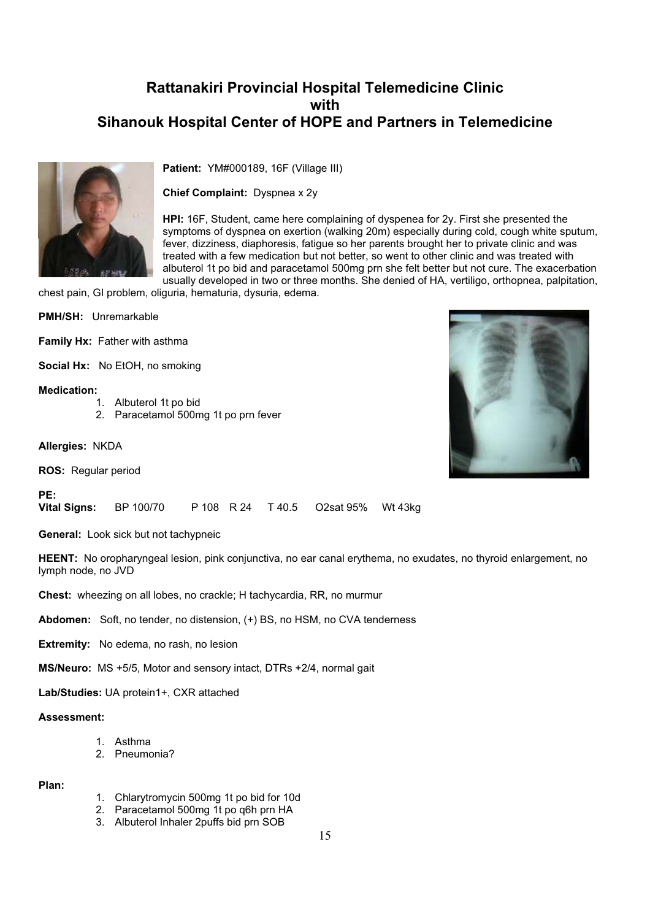

**Patient:** YM#000189, 16F (Village III)

**Chief Complaint:** Dyspnea x 2y

**HPI:** 16F, Student, came here complaining of dyspenea for 2y. First she presented the symptoms of dyspnea on exertion (walking 20m) especially during cold, cough white sputum, fever, dizziness, diaphoresis, fatigue so her parents brought her to private clinic and was treated with a few medication but not better, so went to other clinic and was treated with albuterol 1t po bid and paracetamol 500mg prn she felt better but not cure. The exacerbation usually developed in two or three months. She denied of HA, vertiligo, orthopnea, palpitation,

chest pain, GI problem, oliguria, hematuria, dysuria, edema.

**PMH/SH:** Unremarkable

**Family Hx:** Father with asthma

**Social Hx:** No EtOH, no smoking

#### **Medication:**

- 1. Albuterol 1t po bid
- 2. Paracetamol 500mg 1t po prn fever

**Allergies:** NKDA

**ROS:** Regular period

#### **PE:**

**Vital Signs:** BP 100/70 P 108 R 24 T 40.5 O2sat 95% Wt 43kg

**General:** Look sick but not tachypneic

**HEENT:** No oropharyngeal lesion, pink conjunctiva, no ear canal erythema, no exudates, no thyroid enlargement, no lymph node, no JVD

**Chest:** wheezing on all lobes, no crackle; H tachycardia, RR, no murmur

**Abdomen:** Soft, no tender, no distension, (+) BS, no HSM, no CVA tenderness

**Extremity:** No edema, no rash, no lesion

**MS/Neuro:** MS +5/5, Motor and sensory intact, DTRs +2/4, normal gait

**Lab/Studies:** UA protein1+, CXR attached

#### **Assessment:**

- 1. Asthma
- 2. Pneumonia?

#### **Plan:**

- 1. Chlarytromycin 500mg 1t po bid for 10d
- 2. Paracetamol 500mg 1t po q6h prn HA
- 3. Albuterol Inhaler 2puffs bid prn SOB

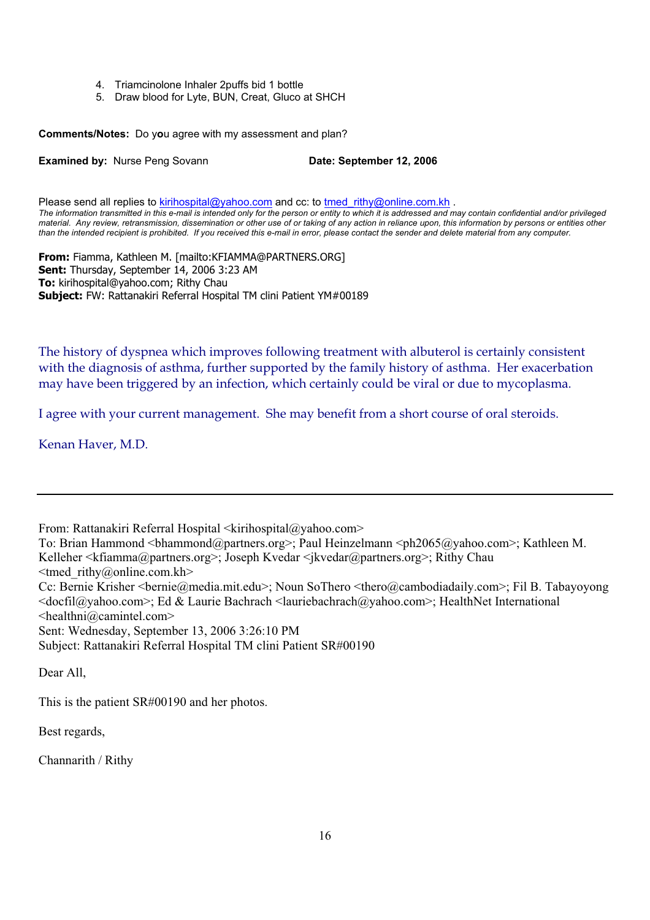- 4. Triamcinolone Inhaler 2puffs bid 1 bottle
- 5. Draw blood for Lyte, BUN, Creat, Gluco at SHCH

**Comments/Notes:** Do y**o**u agree with my assessment and plan?

**Examined by: Nurse Peng Sovann <b>Date: September 12, 2006** 

Please send all replies to kirihospital@yahoo.com and cc: to tmed rithy@online.com.kh . *The information transmitted in this e-mail is intended only for the person or entity to which it is addressed and may contain confidential and/or privileged material. Any review, retransmission, dissemination or other use of or taking of any action in reliance upon, this information by persons or entities other than the intended recipient is prohibited. If you received this e-mail in error, please contact the sender and delete material from any computer.*

**From:** Fiamma, Kathleen M. [mailto:KFIAMMA@PARTNERS.ORG] **Sent:** Thursday, September 14, 2006 3:23 AM **To:** kirihospital@yahoo.com; Rithy Chau **Subject:** FW: Rattanakiri Referral Hospital TM clini Patient YM#00189

The history of dyspnea which improves following treatment with albuterol is certainly consistent with the diagnosis of asthma, further supported by the family history of asthma. Her exacerbation may have been triggered by an infection, which certainly could be viral or due to mycoplasma.

I agree with your current management. She may benefit from a short course of oral steroids.

Kenan Haver, M.D.

From: Rattanakiri Referral Hospital <kirihospital@yahoo.com>

To: Brian Hammond <br/>bhammond@partners.org>; Paul Heinzelmann <ph2065@yahoo.com>; Kathleen M. Kelleher <kfiamma@partners.org>; Joseph Kvedar <jkvedar@partners.org>; Rithy Chau

<tmed\_rithy@online.com.kh>

Cc: Bernie Krisher <bernie@media.mit.edu>; Noun SoThero <thero@cambodiadaily.com>; Fil B. Tabayoyong <docfil@yahoo.com>; Ed & Laurie Bachrach <lauriebachrach@yahoo.com>; HealthNet International <healthni@camintel.com>

Sent: Wednesday, September 13, 2006 3:26:10 PM

Subject: Rattanakiri Referral Hospital TM clini Patient SR#00190

Dear All,

This is the patient SR#00190 and her photos.

Best regards,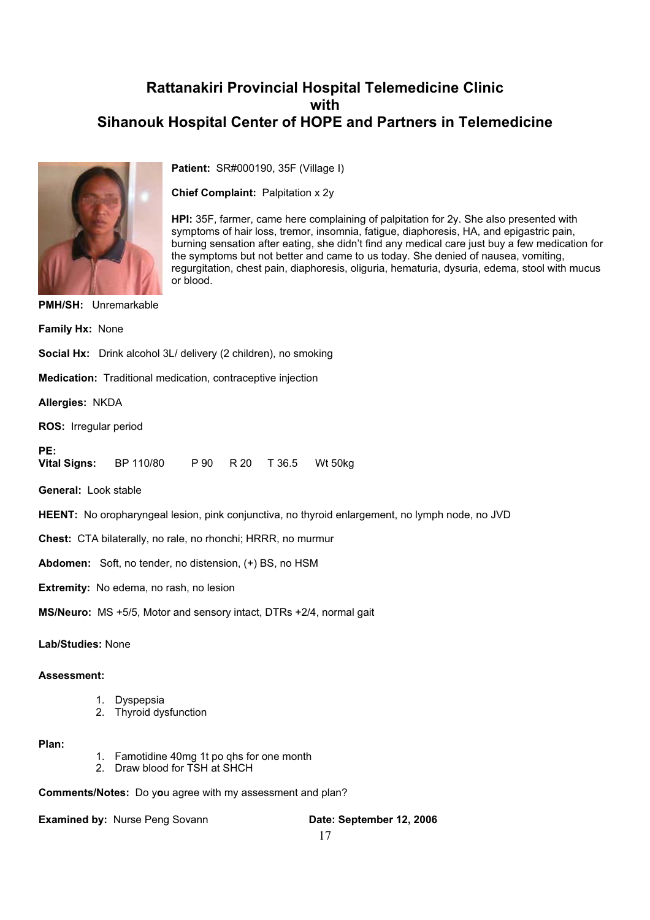

**Patient:** SR#000190, 35F (Village I)

**Chief Complaint:** Palpitation x 2y

**HPI:** 35F, farmer, came here complaining of palpitation for 2y. She also presented with symptoms of hair loss, tremor, insomnia, fatigue, diaphoresis, HA, and epigastric pain, burning sensation after eating, she didn't find any medical care just buy a few medication for the symptoms but not better and came to us today. She denied of nausea, vomiting, regurgitation, chest pain, diaphoresis, oliguria, hematuria, dysuria, edema, stool with mucus or blood.

**PMH/SH:** Unremarkable **Family Hx:** None

**Social Hx:** Drink alcohol 3L/ delivery (2 children), no smoking

**Medication:** Traditional medication, contraceptive injection

**Allergies:** NKDA

**ROS:** Irregular period

**PE: Vital Signs:** BP 110/80 P 90 R 20 T 36.5 Wt 50kg

**General:** Look stable

**HEENT:** No oropharyngeal lesion, pink conjunctiva, no thyroid enlargement, no lymph node, no JVD

**Chest:** CTA bilaterally, no rale, no rhonchi; HRRR, no murmur

**Abdomen:** Soft, no tender, no distension, (+) BS, no HSM

**Extremity:** No edema, no rash, no lesion

**MS/Neuro:** MS +5/5, Motor and sensory intact, DTRs +2/4, normal gait

**Lab/Studies:** None

#### **Assessment:**

- 1. Dyspepsia
- 2. Thyroid dysfunction

#### **Plan:**

- 1. Famotidine 40mg 1t po qhs for one month
- 2. Draw blood for TSH at SHCH

**Comments/Notes:** Do y**o**u agree with my assessment and plan?

**Examined by:** Nurse Peng Sovann **Date: September 12, 2006**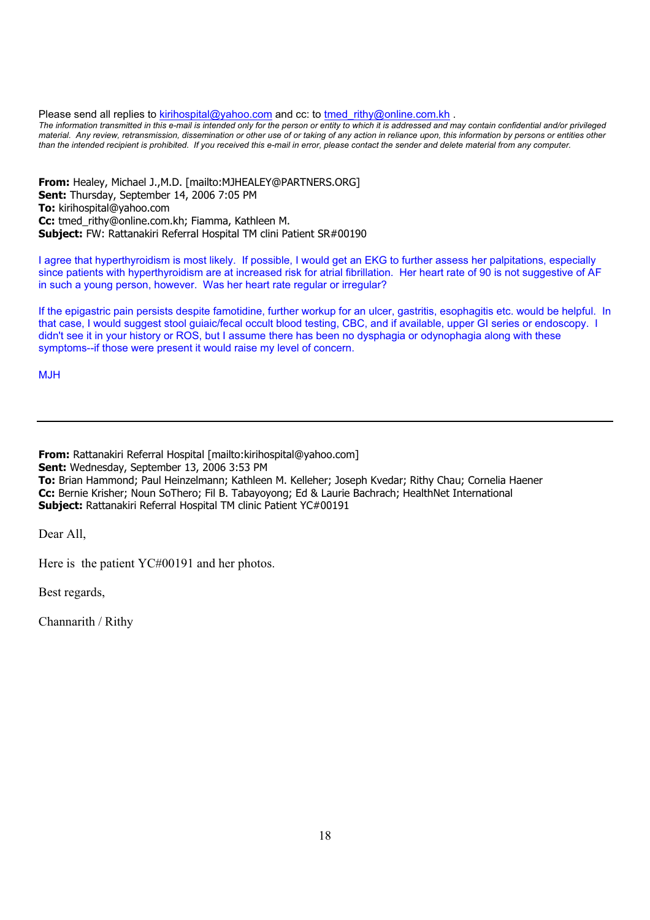Please send all replies to kirihospital@yahoo.com and cc: to tmed rithy@online.com.kh .

*The information transmitted in this e-mail is intended only for the person or entity to which it is addressed and may contain confidential and/or privileged material. Any review, retransmission, dissemination or other use of or taking of any action in reliance upon, this information by persons or entities other than the intended recipient is prohibited. If you received this e-mail in error, please contact the sender and delete material from any computer.*

**From:** Healey, Michael J.,M.D. [mailto:MJHEALEY@PARTNERS.ORG] **Sent:** Thursday, September 14, 2006 7:05 PM **To:** kirihospital@yahoo.com **Cc:** tmed\_rithy@online.com.kh; Fiamma, Kathleen M. **Subject:** FW: Rattanakiri Referral Hospital TM clini Patient SR#00190

I agree that hyperthyroidism is most likely. If possible, I would get an EKG to further assess her palpitations, especially since patients with hyperthyroidism are at increased risk for atrial fibrillation. Her heart rate of 90 is not suggestive of AF in such a young person, however. Was her heart rate regular or irregular?

If the epigastric pain persists despite famotidine, further workup for an ulcer, gastritis, esophagitis etc. would be helpful. In that case, I would suggest stool guiaic/fecal occult blood testing, CBC, and if available, upper GI series or endoscopy. I didn't see it in your history or ROS, but I assume there has been no dysphagia or odynophagia along with these symptoms--if those were present it would raise my level of concern.

MJH

**From:** Rattanakiri Referral Hospital [mailto:kirihospital@yahoo.com] **Sent:** Wednesday, September 13, 2006 3:53 PM **To:** Brian Hammond; Paul Heinzelmann; Kathleen M. Kelleher; Joseph Kvedar; Rithy Chau; Cornelia Haener **Cc:** Bernie Krisher; Noun SoThero; Fil B. Tabayoyong; Ed & Laurie Bachrach; HealthNet International **Subject:** Rattanakiri Referral Hospital TM clinic Patient YC#00191

Dear All,

Here is the patient YC#00191 and her photos.

Best regards,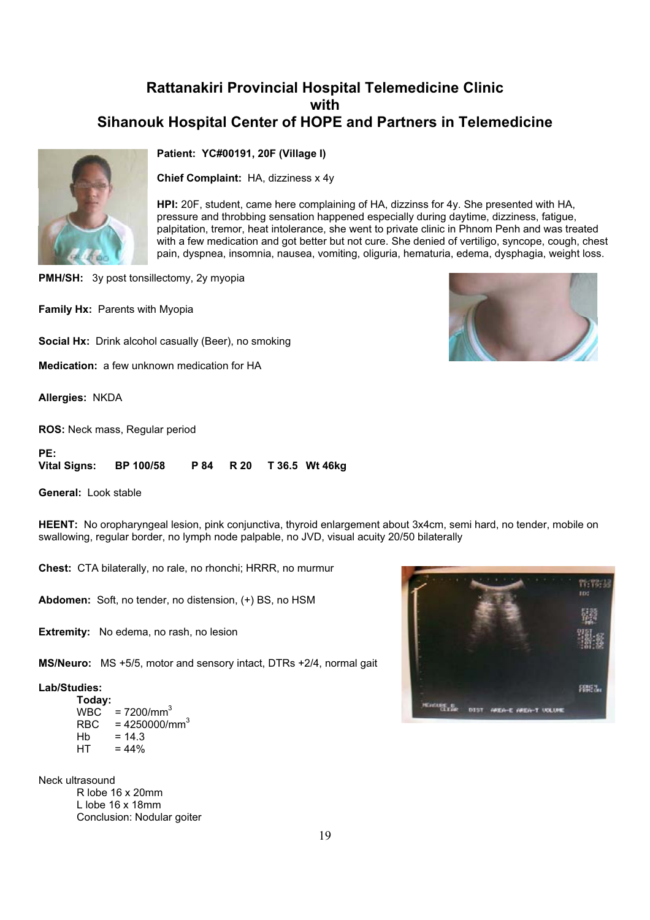

#### **Patient: YC#00191, 20F (Village I)**

**Chief Complaint:** HA, dizziness x 4y

**HPI:** 20F, student, came here complaining of HA, dizzinss for 4y. She presented with HA, pressure and throbbing sensation happened especially during daytime, dizziness, fatigue, palpitation, tremor, heat intolerance, she went to private clinic in Phnom Penh and was treated with a few medication and got better but not cure. She denied of vertiligo, syncope, cough, chest pain, dyspnea, insomnia, nausea, vomiting, oliguria, hematuria, edema, dysphagia, weight loss.

**PMH/SH:** 3y post tonsillectomy, 2y myopia

**Family Hx:** Parents with Myopia

**Social Hx:** Drink alcohol casually (Beer), no smoking

**Medication:** a few unknown medication for HA

**Allergies:** NKDA

**ROS:** Neck mass, Regular period

| PE:                    |  |  |                          |
|------------------------|--|--|--------------------------|
| Vital Signs: BP 100/58 |  |  | P 84 R 20 T 36.5 Wt 46kg |

**General:** Look stable

**HEENT:** No oropharyngeal lesion, pink conjunctiva, thyroid enlargement about 3x4cm, semi hard, no tender, mobile on swallowing, regular border, no lymph node palpable, no JVD, visual acuity 20/50 bilaterally

**Chest:** CTA bilaterally, no rale, no rhonchi; HRRR, no murmur

**Abdomen:** Soft, no tender, no distension, (+) BS, no HSM

**Extremity:** No edema, no rash, no lesion

**MS/Neuro:** MS +5/5, motor and sensory intact, DTRs +2/4, normal gait

#### **Lab/Studies:**

 **Today:**  $WBC = 7200/mm<sup>3</sup>$  $RBC = 4250000/mm^3$  $Hb = 14.3$  $HT = 44%$ 

N eck ultrasound R lobe 16 x 20mm L lobe 16 x 18mm Conclusion: Nodular goiter



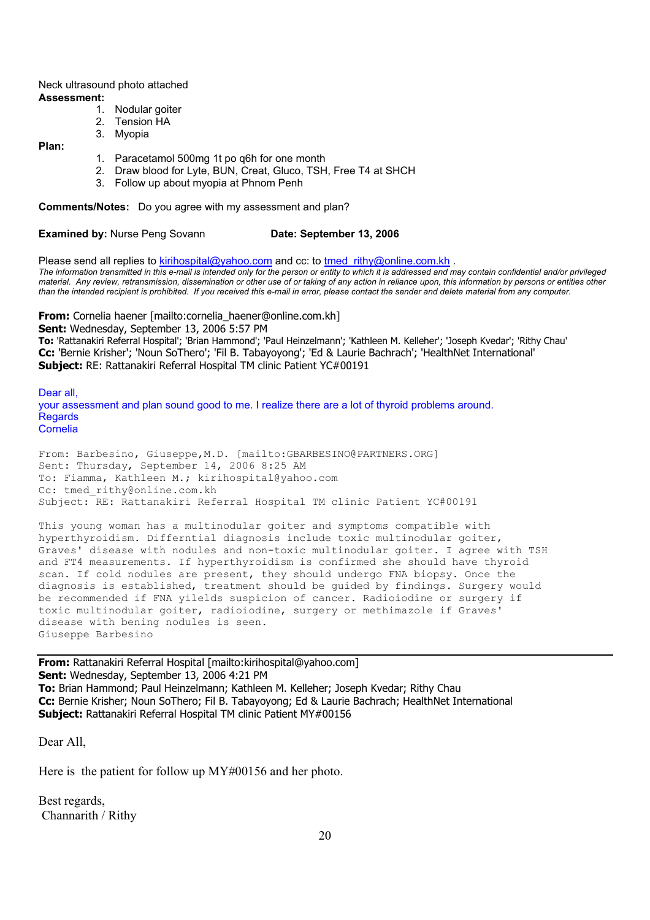Neck ultrasound photo attached **Assessment:**

- 1. Nodular goiter
- 2. Tension HA
- 3. Myopia

**Plan:**

- 1. Paracetamol 500mg 1t po q6h for one month
- 2. Draw blood for Lyte, BUN, Creat, Gluco, TSH, Free T4 at SHCH
- 3. Follow up about myopia at Phnom Penh

**Comments/Notes:** Do you agree with my assessment and plan?

**Examined by:** Nurse Peng Sovann **Date: September 13, 2006** 

Please send all replies to kirihospital@yahoo.com and cc: to tmed\_rithy@online.com.kh . *The information transmitted in this e-mail is intended only for the person or entity to which it is addressed and may contain confidential and/or privileged material. Any review, retransmission, dissemination or other use of or taking of any action in reliance upon, this information by persons or entities other than the intended recipient is prohibited. If you received this e-mail in error, please contact the sender and delete material from any computer.*

**From:** Cornelia haener [mailto:cornelia\_haener@online.com.kh]

**Sent:** Wednesday, September 13, 2006 5:57 PM **To:** 'Rattanakiri Referral Hospital'; 'Brian Hammond'; 'Paul Heinzelmann'; 'Kathleen M. Kelleher'; 'Joseph Kvedar'; 'Rithy Chau' **Cc:** 'Bernie Krisher'; 'Noun SoThero'; 'Fil B. Tabayoyong'; 'Ed & Laurie Bachrach'; 'HealthNet International' **Subject:** RE: Rattanakiri Referral Hospital TM clinic Patient YC#00191

Dear all, your assessment and plan sound good to me. I realize there are a lot of thyroid problems around. Regards Cornelia

From: Barbesino, Giuseppe,M.D. [mailto:GBARBESINO@PARTNERS.ORG] Sent: Thursday, September 14, 2006 8:25 AM To: Fiamma, Kathleen M.; kirihospital@yahoo.com Cc: tmed\_rithy@online.com.kh Subject: RE: Rattanakiri Referral Hospital TM clinic Patient YC#00191

This young woman has a multinodular goiter and symptoms compatible with hyperthyroidism. Differntial diagnosis include toxic multinodular goiter, Graves' disease with nodules and non-toxic multinodular goiter. I agree with TSH and FT4 measurements. If hyperthyroidism is confirmed she should have thyroid scan. If cold nodules are present, they should undergo FNA biopsy. Once the diagnosis is established, treatment should be guided by findings. Surgery would be recommended if FNA yilelds suspicion of cancer. Radioiodine or surgery if toxic multinodular goiter, radioiodine, surgery or methimazole if Graves' disease with bening nodules is seen. Giuseppe Barbesino

**From:** Rattanakiri Referral Hospital [mailto:kirihospital@yahoo.com] **Sent:** Wednesday, September 13, 2006 4:21 PM **To:** Brian Hammond; Paul Heinzelmann; Kathleen M. Kelleher; Joseph Kvedar; Rithy Chau **Cc:** Bernie Krisher; Noun SoThero; Fil B. Tabayoyong; Ed & Laurie Bachrach; HealthNet International **Subject:** Rattanakiri Referral Hospital TM clinic Patient MY#00156

Dear All,

Here is the patient for follow up MY#00156 and her photo.

Best regards, Channarith / Rithy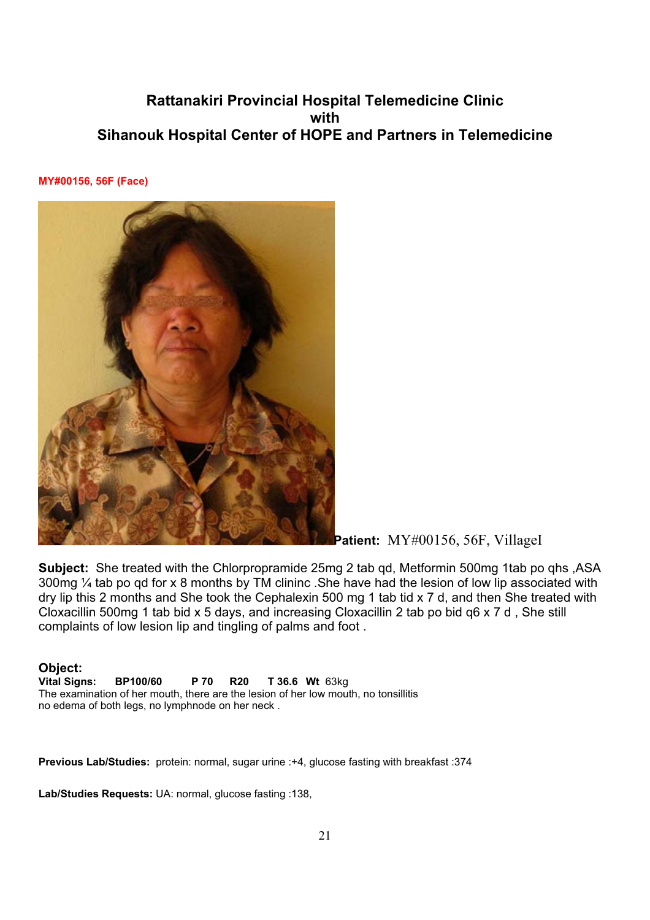**MY#00156, 56F (Face)**



Patient: MY#00156, 56F, VillageI

**Subject:** She treated with the Chlorpropramide 25mg 2 tab qd, Metformin 500mg 1tab po qhs ,ASA 300mg ¼ tab po qd for x 8 months by TM clininc .She have had the lesion of low lip associated with dry lip this 2 months and She took the Cephalexin 500 mg 1 tab tid x 7 d, and then She treated with Cloxacillin 500mg 1 tab bid x 5 days, and increasing Cloxacillin 2 tab po bid q6 x 7 d , She still complaints of low lesion lip and tingling of palms and foot .

**Object: Vital Signs: BP100/60 P 70 R20 T 36.6 Wt** 63kg The examination of her mouth, there are the lesion of her low mouth, no tonsillitis no edema of both legs, no lymphnode on her neck .

**Previous Lab/Studies:** protein: normal, sugar urine :+4, glucose fasting with breakfast :374

**Lab/Studies Requests:** UA: normal, glucose fasting :138,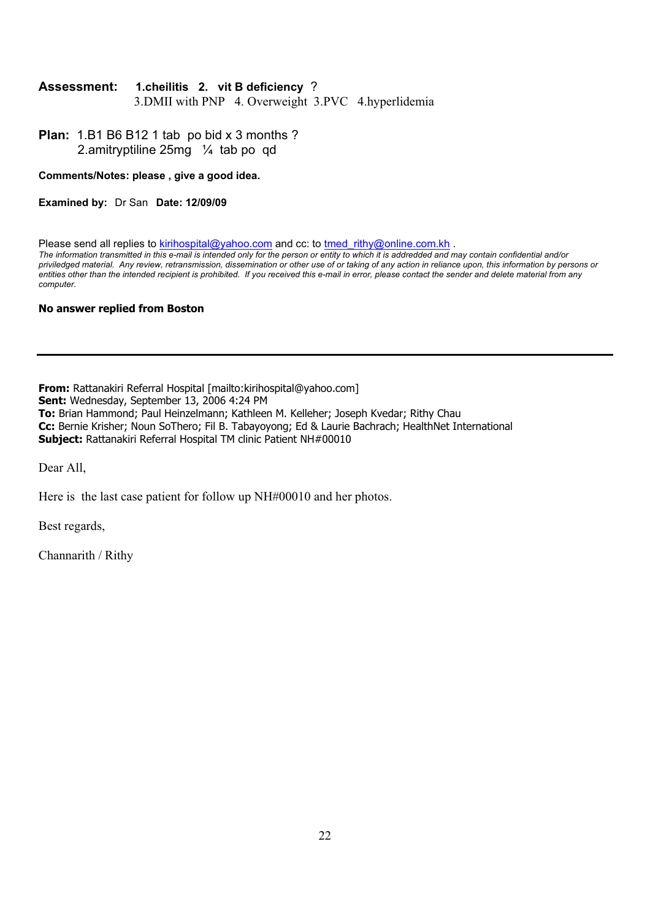#### **Assessment: 1.cheilitis 2. vit B deficiency** ?

3.DMII with PNP 4. Overweight 3.PVC 4.hyperlidemia

**Plan:** 1.B1 B6 B12 1 tab po bid x 3 months ? 2.amitryptiline 25mg ¼ tab po qd

#### **Comments/Notes: please , give a good idea.**

**Examined by:** Dr San **Date: 12/09/09**

Please send all replies to kirihospital@yahoo.com and cc: to tmed\_rithy@online.com.kh . *The information transmitted in this e-mail is intended only for the person or entity to which it is addredded and may contain confidential and/or priviledged material. Any review, retransmission, dissemination or other use of or taking of any action in reliance upon, this information by persons or entities other than the intended recipient is prohibited. If you received this e-mail in error, please contact the sender and delete material from any computer.*

#### **No answer replied from Boston**

**From:** Rattanakiri Referral Hospital [mailto:kirihospital@yahoo.com] **Sent:** Wednesday, September 13, 2006 4:24 PM **To:** Brian Hammond; Paul Heinzelmann; Kathleen M. Kelleher; Joseph Kvedar; Rithy Chau **Cc:** Bernie Krisher; Noun SoThero; Fil B. Tabayoyong; Ed & Laurie Bachrach; HealthNet International **Subject:** Rattanakiri Referral Hospital TM clinic Patient NH#00010

Dear All,

Here is the last case patient for follow up NH#00010 and her photos.

Best regards,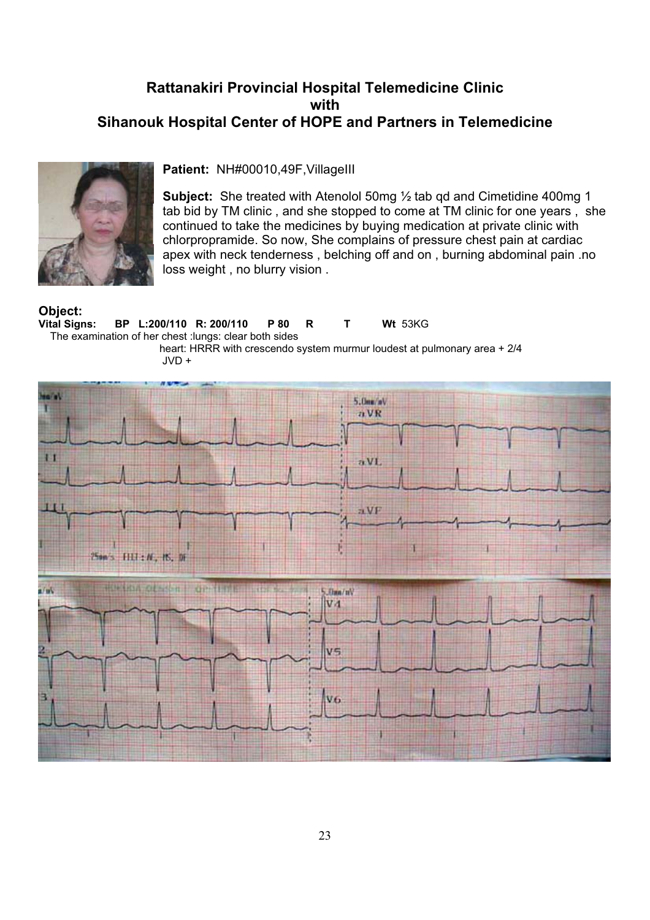

#### **Patient:** NH#00010,49F,VillageIII

**Subject:** She treated with Atenolol 50mg ½ tab qd and Cimetidine 400mg 1 tab bid by TM clinic , and she stopped to come at TM clinic for one years , she continued to take the medicines by buying medication at private clinic with chlorpropramide. So now, She complains of pressure chest pain at cardiac apex with neck tenderness , belching off and on , burning abdominal pain .no loss weight , no blurry vision .

# **Object:**

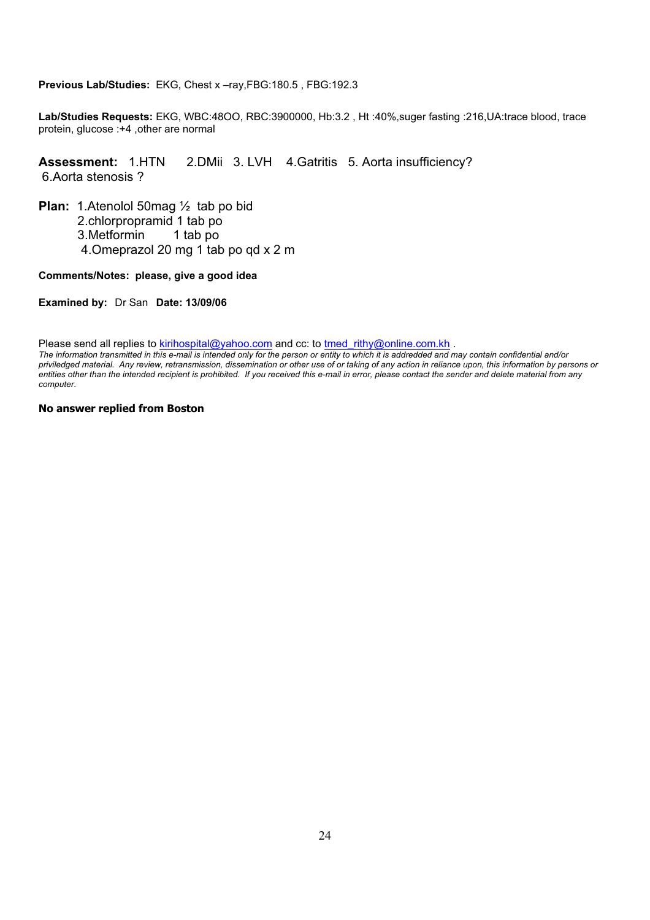**Previous Lab/Studies:** EKG, Chest x –ray,FBG:180.5 , FBG:192.3

**Lab/Studies Requests:** EKG, WBC:48OO, RBC:3900000, Hb:3.2 , Ht :40%,suger fasting :216,UA:trace blood, trace protein, glucose :+4 ,other are normal

#### **Assessment:** 1.HTN 2.DMii 3. LVH 4.Gatritis 5. Aorta insufficiency? 6.Aorta stenosis ?

**Plan:** 1.Atenolol 50mag ½ tab po bid 2.chlorpropramid 1 tab po 3.Metformin 1 tab po 4.Omeprazol 20 mg 1 tab po qd x 2 m

#### **Comments/Notes: please, give a good idea**

**Examined by:** Dr San **Date: 13/09/06**

Please send all replies to kirihospital@yahoo.com and cc: to tmed\_rithy@online.com.kh .

*The information transmitted in this e-mail is intended only for the person or entity to which it is addredded and may contain confidential and/or priviledged material. Any review, retransmission, dissemination or other use of or taking of any action in reliance upon, this information by persons or entities other than the intended recipient is prohibited. If you received this e-mail in error, please contact the sender and delete material from any computer.*

#### **No answer replied from Boston**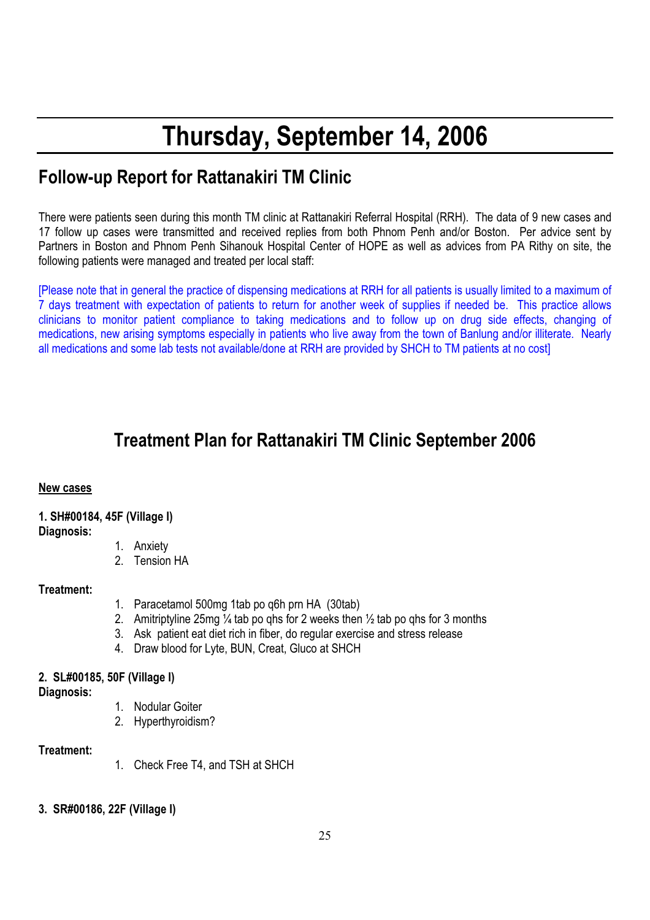# **Thursday, September 14, 2006**

# **Follow-up Report for Rattanakiri TM Clinic**

There were patients seen during this month TM clinic at Rattanakiri Referral Hospital (RRH). The data of 9 new cases and 17 follow up cases were transmitted and received replies from both Phnom Penh and/or Boston. Per advice sent by Partners in Boston and Phnom Penh Sihanouk Hospital Center of HOPE as well as advices from PA Rithy on site, the following patients were managed and treated per local staff:

[Please note that in general the practice of dispensing medications at RRH for all patients is usually limited to a maximum of 7 days treatment with expectation of patients to return for another week of supplies if needed be. This practice allows clinicians to monitor patient compliance to taking medications and to follow up on drug side effects, changing of medications, new arising symptoms especially in patients who live away from the town of Banlung and/or illiterate. Nearly all medications and some lab tests not available/done at RRH are provided by SHCH to TM patients at no cost]

# **Treatment Plan for Rattanakiri TM Clinic September 2006**

#### **New cases**

## **1. SH#00184, 45F (Village I)**

**Diagnosis:**

- 1. Anxiety
- 2. Tension HA

## **Treatment:**

- 1. Paracetamol 500mg 1tab po q6h prn HA (30tab)
- 2. Amitriptyline 25mg  $\frac{1}{4}$  tab po ghs for 2 weeks then  $\frac{1}{2}$  tab po ghs for 3 months
- 3. Ask patient eat diet rich in fiber, do regular exercise and stress release
- 4. Draw blood for Lyte, BUN, Creat, Gluco at SHCH

## **2. SL#00185, 50F (Village I)**

**Diagnosis:**

- 1. Nodular Goiter
- 2. Hyperthyroidism?

## **Treatment:**

- 1. Check Free T4, and TSH at SHCH
- **3. SR#00186, 22F (Village I)**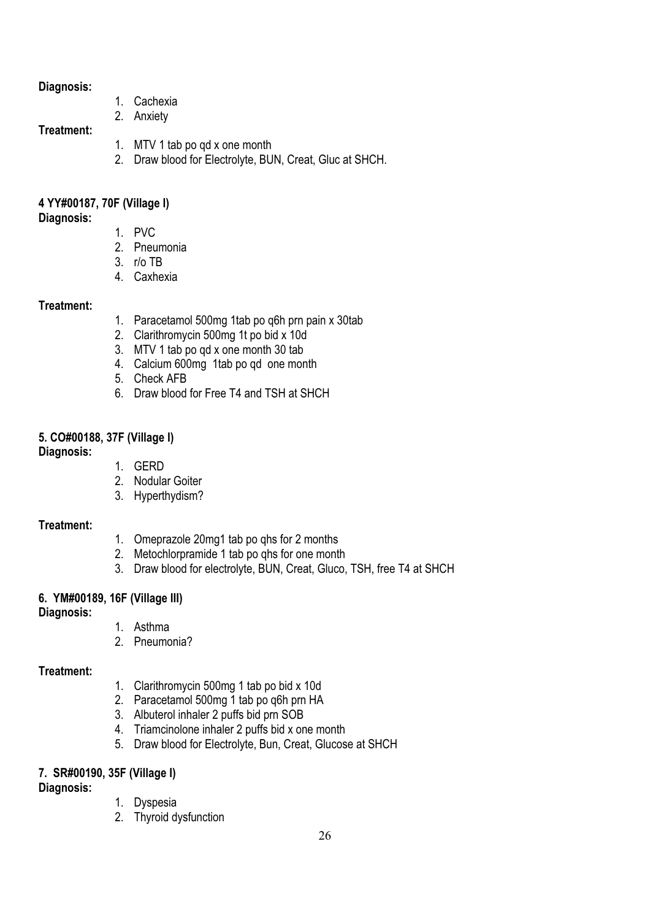#### **Diagnosis:**

- 1. Cachexia
- 2. Anxiety

#### **Treatment:**

- 1. MTV 1 tab po qd x one month
- 2. Draw blood for Electrolyte, BUN, Creat, Gluc at SHCH.

## **4 YY#00187, 70F (Village I)**

#### **Diagnosis:**

- 1. PVC
- 2. Pneumonia
- 3. r/o TB
- 4. Caxhexia

## **Treatment:**

- 1. Paracetamol 500mg 1tab po q6h prn pain x 30tab
- 2. Clarithromycin 500mg 1t po bid x 10d
- 3. MTV 1 tab po qd x one month 30 tab
- 4. Calcium 600mg 1tab po qd one month
- 5. Check AFB
- 6. Draw blood for Free T4 and TSH at SHCH

## **5. CO#00188, 37F (Village I)**

#### **Diagnosis:**

- 1. GERD
- 2. Nodular Goiter
- 3. Hyperthydism?

## **Treatment:**

- 1. Omeprazole 20mg1 tab po qhs for 2 months
- 2. Metochlorpramide 1 tab po qhs for one month
- 3. Draw blood for electrolyte, BUN, Creat, Gluco, TSH, free T4 at SHCH

# **6. YM#00189, 16F (Village III)**

## **Diagnosis:**

- 1. Asthma
- 2. Pneumonia?

## **Treatment:**

- 1. Clarithromycin 500mg 1 tab po bid x 10d
- 2. Paracetamol 500mg 1 tab po q6h prn HA
- 3. Albuterol inhaler 2 puffs bid prn SOB
- 4. Triamcinolone inhaler 2 puffs bid x one month
- 5. Draw blood for Electrolyte, Bun, Creat, Glucose at SHCH

# **7. SR#00190, 35F (Village I)**

## **Diagnosis:**

- 1. Dyspesia
- 2. Thyroid dysfunction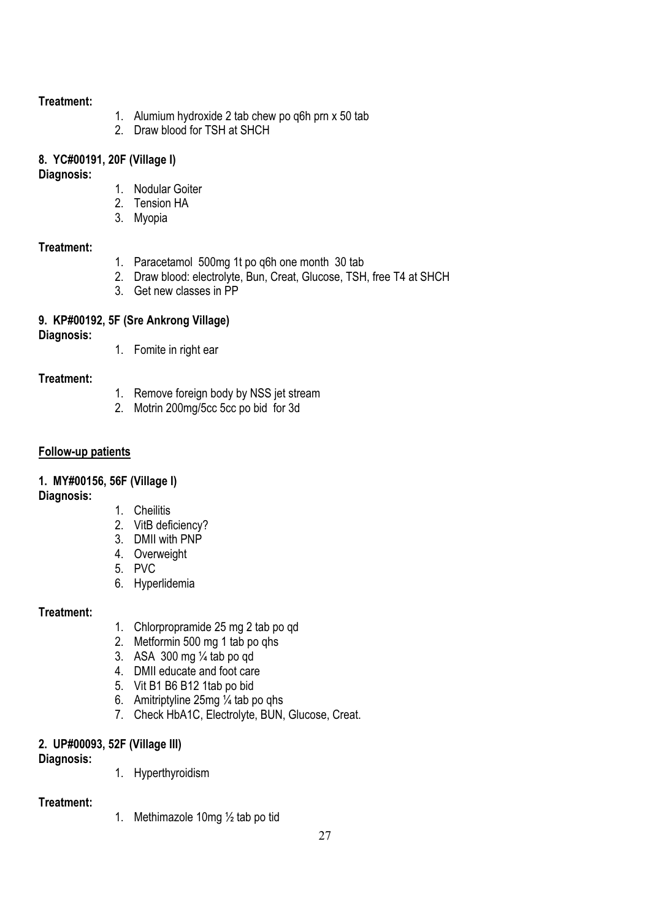- 1. Alumium hydroxide 2 tab chew po q6h prn x 50 tab
- 2. Draw blood for TSH at SHCH

#### **8. YC#00191, 20F (Village I)**

#### **Diagnosis:**

- 1. Nodular Goiter
- 2. Tension HA
- 3. Myopia

## **Treatment:**

- 1. Paracetamol 500mg 1t po q6h one month 30 tab
- 2. Draw blood: electrolyte, Bun, Creat, Glucose, TSH, free T4 at SHCH
- 3. Get new classes in PP

# **9. KP#00192, 5F (Sre Ankrong Village)**

**Diagnosis:**

1. Fomite in right ear

## **Treatment:**

- 1. Remove foreign body by NSS jet stream
- 2. Motrin 200mg/5cc 5cc po bid for 3d

#### **Follow-up patients**

## **1. MY#00156, 56F (Village I)**

#### **Diagnosis:**

- 1. Cheilitis
- 2. VitB deficiency?
- 3. DMII with PNP
- 4. Overweight
- 5. PVC
- 6. Hyperlidemia

## **Treatment:**

- 1. Chlorpropramide 25 mg 2 tab po qd
- 2. Metformin 500 mg 1 tab po qhs
- 3. ASA 300 mg ¼ tab po qd
- 4. DMII educate and foot care
- 5. Vit B1 B6 B12 1tab po bid
- 6. Amitriptyline 25mg ¼ tab po qhs
- 7. Check HbA1C, Electrolyte, BUN, Glucose, Creat.

## **2. UP#00093, 52F (Village III)**

**Diagnosis:**

1. Hyperthyroidism

#### **Treatment:**

1. Methimazole 10mg ½ tab po tid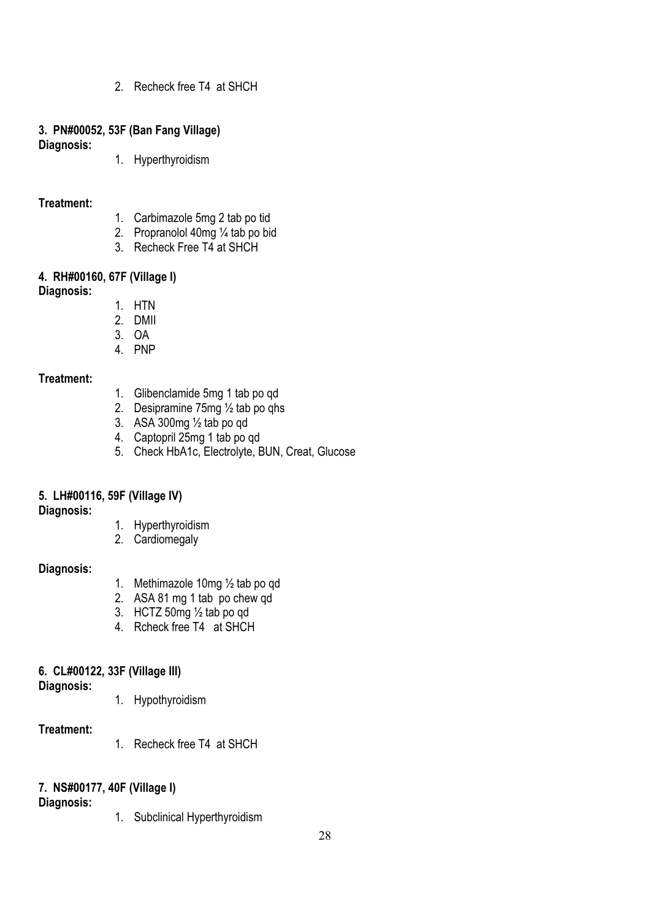2. Recheck free T4 at SHCH

#### **3. PN#00052, 53F (Ban Fang Village)**

**Diagnosis:**

1. Hyperthyroidism

#### **Treatment:**

- 1. Carbimazole 5mg 2 tab po tid
- 2. Propranolol 40mg ¼ tab po bid
- 3. Recheck Free T4 at SHCH

# **4. RH#00160, 67F (Village I)**

**Diagnosis:**

- 1. HTN
- 2. DMII
- 3. OA
- 4. PNP

#### **Treatment:**

- 1. Glibenclamide 5mg 1 tab po qd
- 2. Desipramine 75mg ½ tab po qhs
- 3. ASA 300 $mg\frac{1}{2}$  tab po qd
- 4. Captopril 25mg 1 tab po qd
- 5. Check HbA1c, Electrolyte, BUN, Creat, Glucose

## **5. LH#00116, 59F (Village IV)**

**Diagnosis:**

- 1. Hyperthyroidism
- 2. Cardiomegaly

#### **Diagnosis:**

- 1. Methimazole 10mg ½ tab po qd
- 2. ASA 81 mg 1 tab po chew qd
- 3. HCTZ 50mg ½ tab po qd
- 4. Rcheck free T4 at SHCH

#### **6. CL#00122, 33F (Village III)**

**Diagnosis:**

1. Hypothyroidism

#### **Treatment:**

1. Recheck free T4 at SHCH

## **7. NS#00177, 40F (Village I)**

**Diagnosis:**

1. Subclinical Hyperthyroidism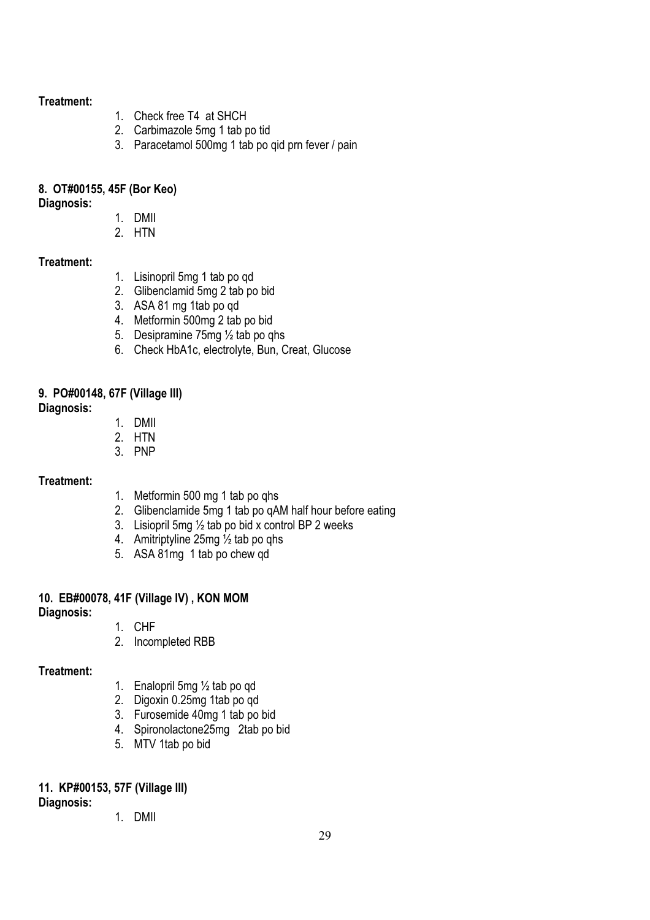- 1. Check free T4 at SHCH
- 2. Carbimazole 5mg 1 tab po tid
- 3. Paracetamol 500mg 1 tab po qid prn fever / pain

# **8. OT#00155, 45F (Bor Keo)**

**Diagnosis:**

- 1. DMII
- 2. HTN

## **Treatment:**

- 1. Lisinopril 5mg 1 tab po qd
- 2. Glibenclamid 5mg 2 tab po bid
- 3. ASA 81 mg 1tab po qd
- 4. Metformin 500mg 2 tab po bid
- 5. Desipramine 75mg ½ tab po qhs
- 6. Check HbA1c, electrolyte, Bun, Creat, Glucose

# **9. PO#00148, 67F (Village III)**

#### **Diagnosis:**

- 1. DMII
- 2. HTN
- 3. PNP

## **Treatment:**

- 1. Metformin 500 mg 1 tab po qhs
- 2. Glibenclamide 5mg 1 tab po qAM half hour before eating
- 3. Lisiopril 5mg ½ tab po bid x control BP 2 weeks
- 4. Amitriptyline 25mg ½ tab po qhs
- 5. ASA 81mg 1 tab po chew qd

# **10. EB#00078, 41F (Village IV) , KON MOM**

## **Diagnosis:**

- 1. CHF
- 2. Incompleted RBB

## **Treatment:**

- 1. Enalopril 5mg ½ tab po qd
- 2. Digoxin 0.25mg 1tab po qd
- 3. Furosemide 40mg 1 tab po bid
- 4. Spironolactone25mg 2tab po bid
- 5. MTV 1tab po bid

# **11. KP#00153, 57F (Village III)**

**Diagnosis:**

# 1. DMII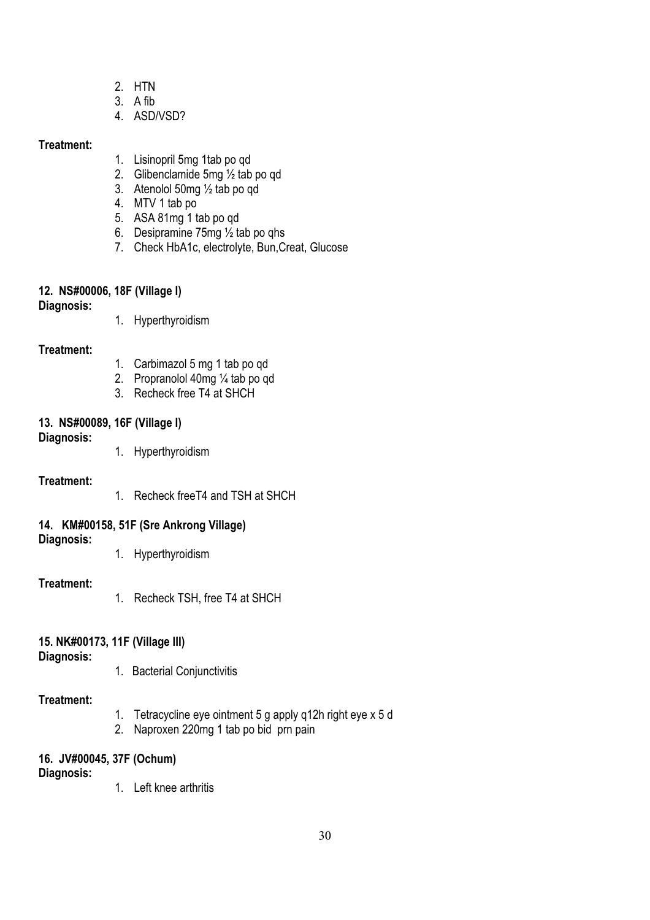- 2. HTN
- 3. A fib
- 4. ASD/VSD?

- 1. Lisinopril 5mg 1tab po qd
- 2. Glibenclamide 5mg ½ tab po qd
- 3. Atenolol 50mg ½ tab po qd
- 4. MTV 1 tab po
- 5. ASA 81mg 1 tab po qd
- 6. Desipramine 75mg ½ tab po qhs
- 7. Check HbA1c, electrolyte, Bun,Creat, Glucose

## **12. NS#00006, 18F (Village I)**

**Diagnosis:**

1. Hyperthyroidism

#### **Treatment:**

- 1. Carbimazol 5 mg 1 tab po qd
- 2. Propranolol 40mg ¼ tab po qd
- 3. Recheck free T4 at SHCH

## **13. NS#00089, 16F (Village I)**

- **Diagnosis:**
- 1. Hyperthyroidism

#### **Treatment:**

1. Recheck freeT4 and TSH at SHCH

## **14. KM#00158, 51F (Sre Ankrong Village)**

#### **Diagnosis:**

1. Hyperthyroidism

## **Treatment:**

1. Recheck TSH, free T4 at SHCH

## **15. NK#00173, 11F (Village III)**

#### **Diagnosis:**

1. Bacterial Conjunctivitis

#### **Treatment:**

- 1. Tetracycline eye ointment 5 g apply q12h right eye x 5 d
- 2. Naproxen 220mg 1 tab po bid prn pain

# **16. JV#00045, 37F (Ochum)**

**Diagnosis:**

1. Left knee arthritis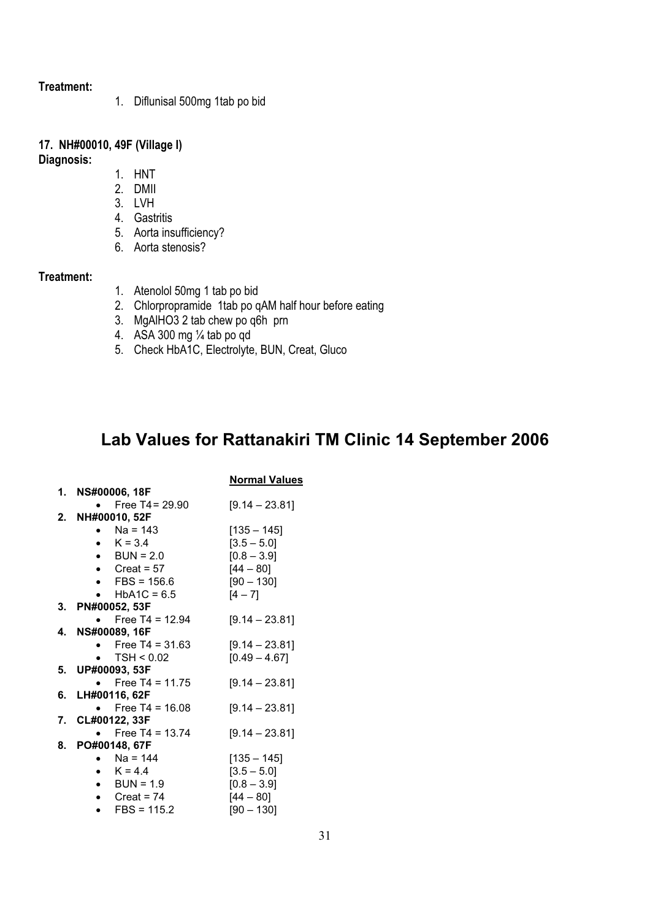1. Diflunisal 500mg 1tab po bid

## **17. NH#00010, 49F (Village I)**

**Diagnosis:**

- 1. HNT
- 2. DMII
- 3. LVH
- 4. Gastritis
- 5. Aorta insufficiency?
- 6. Aorta stenosis?

#### **Treatment:**

- 1. Atenolol 50mg 1 tab po bid
- 2. Chlorpropramide 1tab po qAM half hour before eating
- 3. MgAlHO3 2 tab chew po q6h prn
- 4. ASA 300 mg ¼ tab po qd
- 5. Check HbA1C, Electrolyte, BUN, Creat, Gluco

# **Lab Values for Rattanakiri TM Clinic 14 September 2006**

|                                   | <b>Normal Values</b> |
|-----------------------------------|----------------------|
| 1. NS#00006, 18F                  |                      |
| Free $T4 = 29.90$                 | $[9.14 - 23.81]$     |
| 2. NH#00010, 52F                  |                      |
| $Na = 143$<br>$\mathbf{r}$        | $[135 - 145]$        |
| • $K = 3.4$                       | $[3.5 - 5.0]$        |
| $\bullet$ BUN = 2.0               | $[0.8 - 3.9]$        |
| • Creat = $57$                    | $[44 - 80]$          |
| $\blacktriangleright$ FBS = 156.6 | $[90 - 130]$         |
| • $HbA1C = 6.5$                   | $[4 - 7]$            |
| 3. PN#00052, 53F                  |                      |
| • Free T4 = 12.94                 | $[9.14 - 23.81]$     |
| 4. NS#00089, 16F                  |                      |
| Free T4 = $31.63$                 | $[9.14 - 23.81]$     |
| $\blacktriangleright$ TSH < 0.02  | $[0.49 - 4.67]$      |
| 5. UP#00093, 53F                  |                      |
| • Free T4 = 11.75                 | $[9.14 - 23.81]$     |
| 6. LH#00116, 62F                  |                      |
| Free $T4 = 16.08$                 | $[9.14 - 23.81]$     |
| 7. CL#00122, 33F                  |                      |
| • Free T4 = 13.74                 | $[9.14 - 23.81]$     |
| 8. PO#00148, 67F                  |                      |
| • $Na = 144$                      | $[135 - 145]$        |
| • $K = 4.4$                       | $[3.5 - 5.0]$        |
| • BUN = $1.9$                     | $[0.8 - 3.9]$        |
| • Creat = $74$                    | $[44 - 80]$          |
| $\bullet$ FBS = 115.2             | $[90 - 130]$         |
|                                   |                      |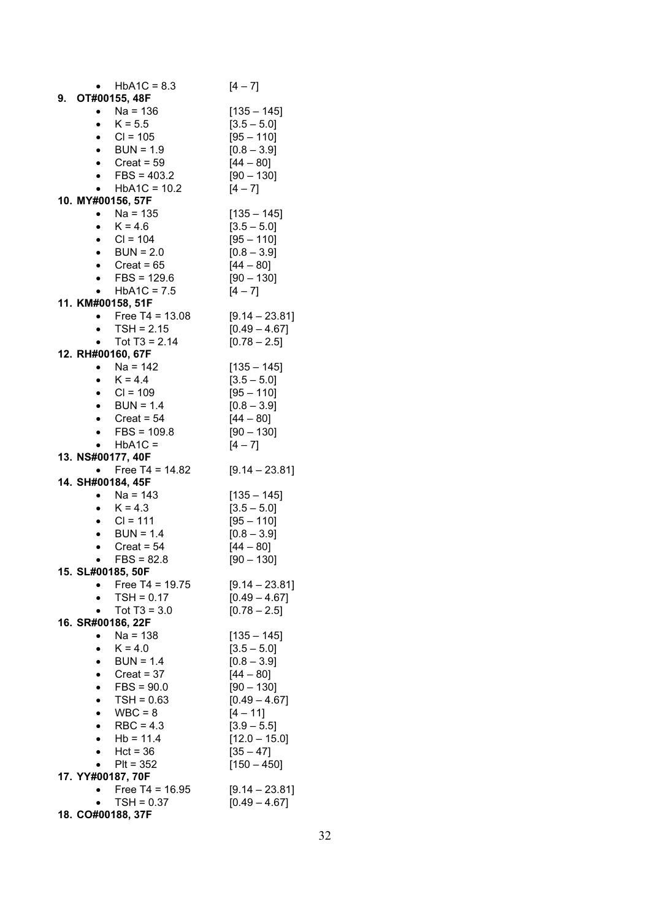| $HbA1C = 8.3$                     | $[4 - 7]$                           |
|-----------------------------------|-------------------------------------|
| 9. OT#00155, 48F                  |                                     |
| $Na = 136$                        | $[135 - 145]$                       |
| $K = 5.5$                         | $[3.5 - 5.0]$                       |
| • $CI = 105$                      | $[95 - 110]$                        |
| $\bullet$ BUN = 1.9               | $[0.8 - 3.9]$                       |
| • Creat = $59$                    | $[44 - 80]$                         |
| • $FBS = 403.2$                   | $[90 - 130]$                        |
| $HbA1C = 10.2$                    | $[4 - 7]$                           |
| 10. MY#00156, 57F                 |                                     |
| $Na = 135$                        | $[135 - 145]$                       |
| $K = 4.6$                         | $[3.5 - 5.0]$                       |
| • $CI = 104$                      | $[95 - 110]$                        |
| $\bullet$ BUN = 2.0               | $[0.8 - 3.9]$                       |
| • Creat = $65$                    | $[44 - 80]$                         |
| • FBS = $129.6$                   | $[90 - 130]$                        |
| $HbA1C = 7.5$                     | $[4 - 7]$                           |
| 11. KM#00158, 51F                 |                                     |
| Free $T4 = 13.08$                 | $[9.14 - 23.81]$                    |
| $TSH = 2.15$                      | $[0.49 - 4.67]$                     |
| Tot $T3 = 2.14$<br>$\bullet$      | $[0.78 - 2.5]$                      |
| 12. RH#00160, 67F                 |                                     |
| • Na = 142                        | $[135 - 145]$                       |
| $K = 4.4$<br>$\bullet$            | $[3.5 - 5.0]$                       |
| $CI = 109$<br>$\bullet$           | $[95 - 110]$                        |
| • $BUN = 1.4$                     | $[0.8 - 3.9]$                       |
| • Creat = $54$                    | $[44 - 80]$                         |
| $FBS = 109.8$                     | $[90 - 130]$                        |
|                                   | $[4 - 7]$                           |
| $HbA1C =$                         |                                     |
| 13. NS#00177, 40F                 |                                     |
| Free $T4 = 14.82$                 | $[9.14 - 23.81]$                    |
| 14. SH#00184, 45F<br>• $Na = 143$ |                                     |
| $K = 4.3$                         | $[135 - 145]$<br>$[3.5 - 5.0]$      |
| $CI = 111$                        | $[95 - 110]$                        |
| $BUN = 1.4$                       | $[0.8 - 3.9]$                       |
| $Create = 54$                     | $[44 - 80]$                         |
| $FBS = 82.8$                      |                                     |
| 15. SL#00185, 50F                 | $[90 - 130]$                        |
| Free T4 = $19.75$<br>$\bullet$    | $[9.14 - 23.81]$                    |
| $TSH = 0.17$                      | $[0.49 - 4.67]$                     |
| Tot $T3 = 3.0$                    | $[0.78 - 2.5]$                      |
| 16. SR#00186, 22F                 |                                     |
| Na = 138<br>$\bullet$             | $[135 - 145]$                       |
| $K = 4.0$                         | $[3.5 - 5.0]$                       |
| $BUN = 1.4$                       | $[0.8 - 3.9]$                       |
| $Create = 37$                     | $[44 - 80]$                         |
| $FBS = 90.0$                      | $[90 - 130]$                        |
|                                   | $[0.49 - 4.67]$                     |
| $TSH = 0.63$<br>$WBC = 8$         | $[4 - 11]$                          |
| $RBC = 4.3$                       |                                     |
| $Hb = 11.4$                       | $[3.9 - 5.5]$                       |
|                                   | $[12.0 - 15.0]$                     |
| $Hct = 36$                        | $[35 - 47]$                         |
| Plt = 352<br>17. YY#00187, 70F    | $[150 - 450]$                       |
| Free $T4 = 16.95$                 |                                     |
| $TSH = 0.37$                      | $[9.14 - 23.81]$<br>$[0.49 - 4.67]$ |
| 18. CO#00188, 37F                 |                                     |
|                                   |                                     |